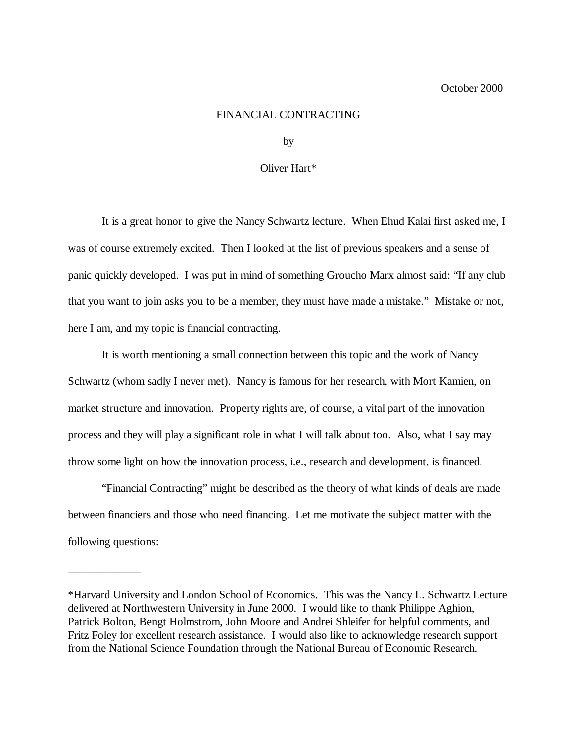### FINANCIAL CONTRACTING

by

# Oliver Hart\*

It is a great honor to give the Nancy Schwartz lecture. When Ehud Kalai first asked me, I was of course extremely excited. Then I looked at the list of previous speakers and a sense of panic quickly developed. I was put in mind of something Groucho Marx almost said: "If any club that you want to join asks you to be a member, they must have made a mistake." Mistake or not, here I am, and my topic is financial contracting.

It is worth mentioning a small connection between this topic and the work of Nancy Schwartz (whom sadly I never met). Nancy is famous for her research, with Mort Kamien, on market structure and innovation. Property rights are, of course, a vital part of the innovation process and they will play a significant role in what I will talk about too. Also, what I say may throw some light on how the innovation process, i.e., research and development, is financed.

"Financial Contracting" might be described as the theory of what kinds of deals are made between financiers and those who need financing. Let me motivate the subject matter with the following questions:

\_\_\_\_\_\_\_\_\_\_\_\_\_

<sup>\*</sup>Harvard University and London School of Economics. This was the Nancy L. Schwartz Lecture delivered at Northwestern University in June 2000. I would like to thank Philippe Aghion, Patrick Bolton, Bengt Holmstrom, John Moore and Andrei Shleifer for helpful comments, and Fritz Foley for excellent research assistance. I would also like to acknowledge research support from the National Science Foundation through the National Bureau of Economic Research.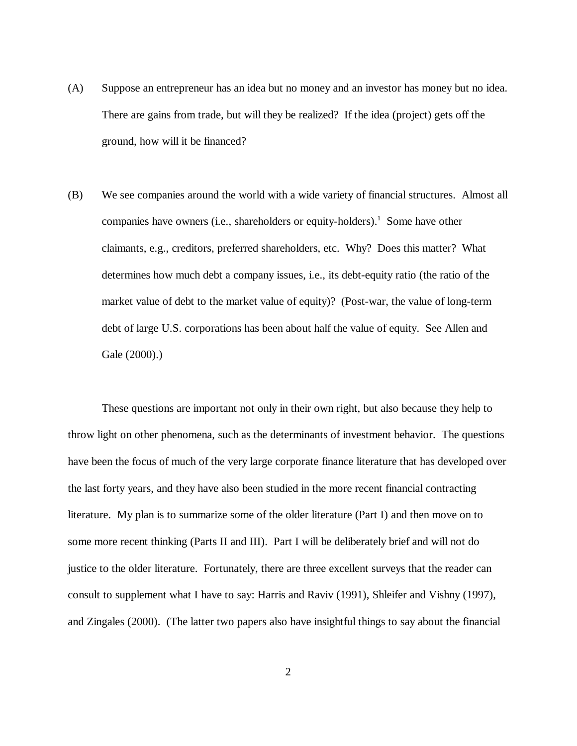- (A) Suppose an entrepreneur has an idea but no money and an investor has money but no idea. There are gains from trade, but will they be realized? If the idea (project) gets off the ground, how will it be financed?
- (B) We see companies around the world with a wide variety of financial structures. Almost all companies have owners (i.e., shareholders or equity-holders).<sup>1</sup> Some have other claimants, e.g., creditors, preferred shareholders, etc. Why? Does this matter? What determines how much debt a company issues, i.e., its debt-equity ratio (the ratio of the market value of debt to the market value of equity)? (Post-war, the value of long-term debt of large U.S. corporations has been about half the value of equity. See Allen and Gale (2000).)

These questions are important not only in their own right, but also because they help to throw light on other phenomena, such as the determinants of investment behavior. The questions have been the focus of much of the very large corporate finance literature that has developed over the last forty years, and they have also been studied in the more recent financial contracting literature. My plan is to summarize some of the older literature (Part I) and then move on to some more recent thinking (Parts II and III). Part I will be deliberately brief and will not do justice to the older literature. Fortunately, there are three excellent surveys that the reader can consult to supplement what I have to say: Harris and Raviv (1991), Shleifer and Vishny (1997), and Zingales (2000). (The latter two papers also have insightful things to say about the financial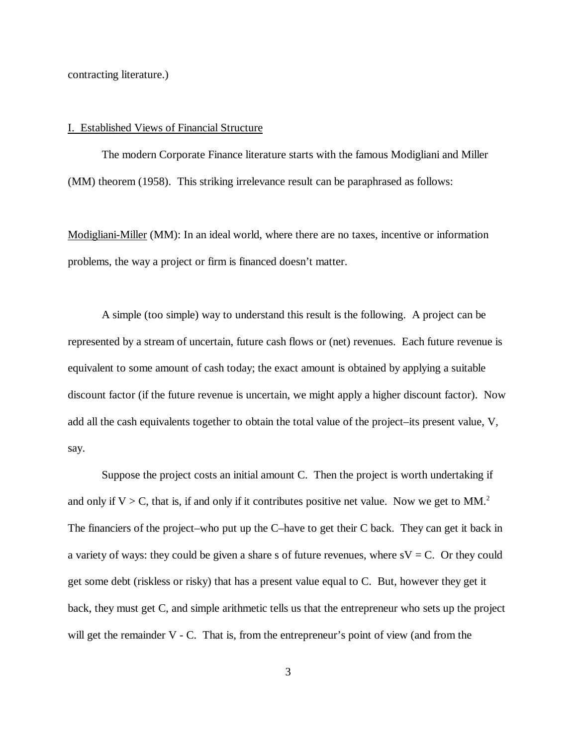contracting literature.)

### I. Established Views of Financial Structure

The modern Corporate Finance literature starts with the famous Modigliani and Miller (MM) theorem (1958). This striking irrelevance result can be paraphrased as follows:

Modigliani-Miller (MM): In an ideal world, where there are no taxes, incentive or information problems, the way a project or firm is financed doesn't matter.

A simple (too simple) way to understand this result is the following. A project can be represented by a stream of uncertain, future cash flows or (net) revenues. Each future revenue is equivalent to some amount of cash today; the exact amount is obtained by applying a suitable discount factor (if the future revenue is uncertain, we might apply a higher discount factor). Now add all the cash equivalents together to obtain the total value of the project–its present value, V, say.

Suppose the project costs an initial amount C. Then the project is worth undertaking if and only if  $V > C$ , that is, if and only if it contributes positive net value. Now we get to MM.<sup>2</sup> The financiers of the project–who put up the C–have to get their C back. They can get it back in a variety of ways: they could be given a share s of future revenues, where  $sV = C$ . Or they could get some debt (riskless or risky) that has a present value equal to C. But, however they get it back, they must get C, and simple arithmetic tells us that the entrepreneur who sets up the project will get the remainder V - C. That is, from the entrepreneur's point of view (and from the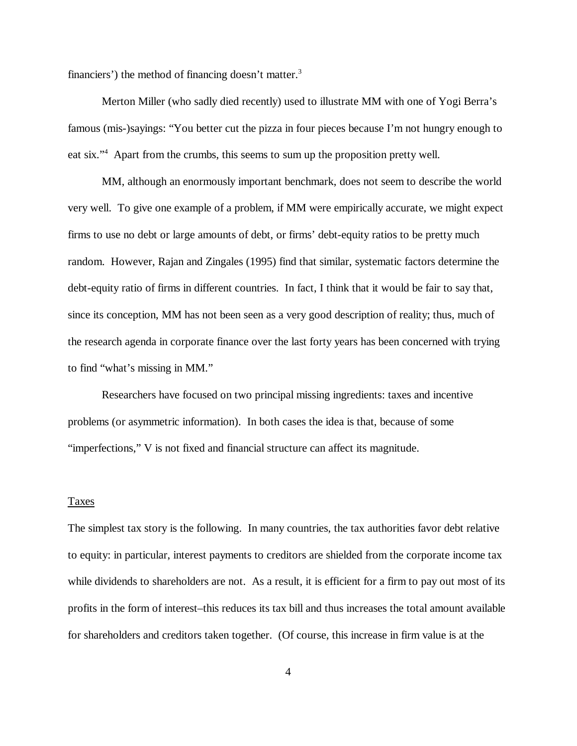financiers') the method of financing doesn't matter.<sup>3</sup>

Merton Miller (who sadly died recently) used to illustrate MM with one of Yogi Berra's famous (mis-)sayings: "You better cut the pizza in four pieces because I'm not hungry enough to eat six."<sup>4</sup> Apart from the crumbs, this seems to sum up the proposition pretty well.

MM, although an enormously important benchmark, does not seem to describe the world very well. To give one example of a problem, if MM were empirically accurate, we might expect firms to use no debt or large amounts of debt, or firms' debt-equity ratios to be pretty much random. However, Rajan and Zingales (1995) find that similar, systematic factors determine the debt-equity ratio of firms in different countries. In fact, I think that it would be fair to say that, since its conception, MM has not been seen as a very good description of reality; thus, much of the research agenda in corporate finance over the last forty years has been concerned with trying to find "what's missing in MM."

Researchers have focused on two principal missing ingredients: taxes and incentive problems (or asymmetric information). In both cases the idea is that, because of some "imperfections," V is not fixed and financial structure can affect its magnitude.

#### Taxes

The simplest tax story is the following. In many countries, the tax authorities favor debt relative to equity: in particular, interest payments to creditors are shielded from the corporate income tax while dividends to shareholders are not. As a result, it is efficient for a firm to pay out most of its profits in the form of interest–this reduces its tax bill and thus increases the total amount available for shareholders and creditors taken together. (Of course, this increase in firm value is at the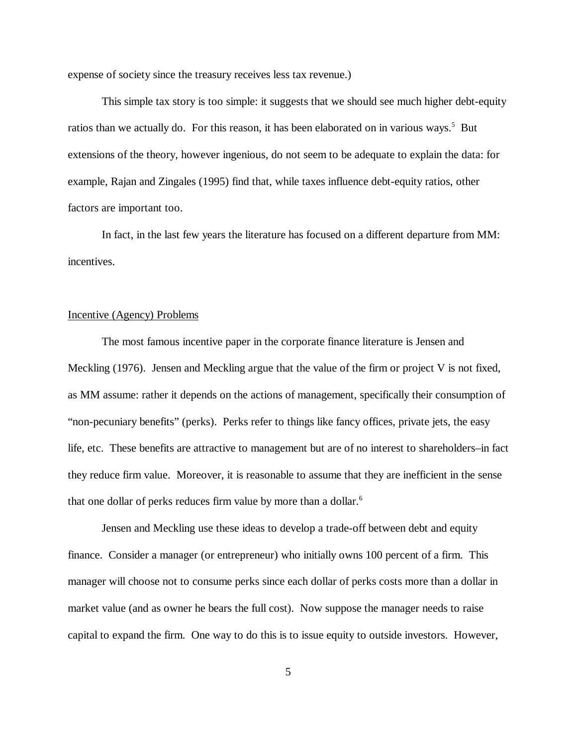expense of society since the treasury receives less tax revenue.)

This simple tax story is too simple: it suggests that we should see much higher debt-equity ratios than we actually do. For this reason, it has been elaborated on in various ways.<sup>5</sup> But extensions of the theory, however ingenious, do not seem to be adequate to explain the data: for example, Rajan and Zingales (1995) find that, while taxes influence debt-equity ratios, other factors are important too.

In fact, in the last few years the literature has focused on a different departure from MM: incentives.

### Incentive (Agency) Problems

The most famous incentive paper in the corporate finance literature is Jensen and Meckling (1976). Jensen and Meckling argue that the value of the firm or project V is not fixed, as MM assume: rather it depends on the actions of management, specifically their consumption of "non-pecuniary benefits" (perks). Perks refer to things like fancy offices, private jets, the easy life, etc. These benefits are attractive to management but are of no interest to shareholders–in fact they reduce firm value. Moreover, it is reasonable to assume that they are inefficient in the sense that one dollar of perks reduces firm value by more than a dollar.<sup>6</sup>

Jensen and Meckling use these ideas to develop a trade-off between debt and equity finance. Consider a manager (or entrepreneur) who initially owns 100 percent of a firm. This manager will choose not to consume perks since each dollar of perks costs more than a dollar in market value (and as owner he bears the full cost). Now suppose the manager needs to raise capital to expand the firm. One way to do this is to issue equity to outside investors. However,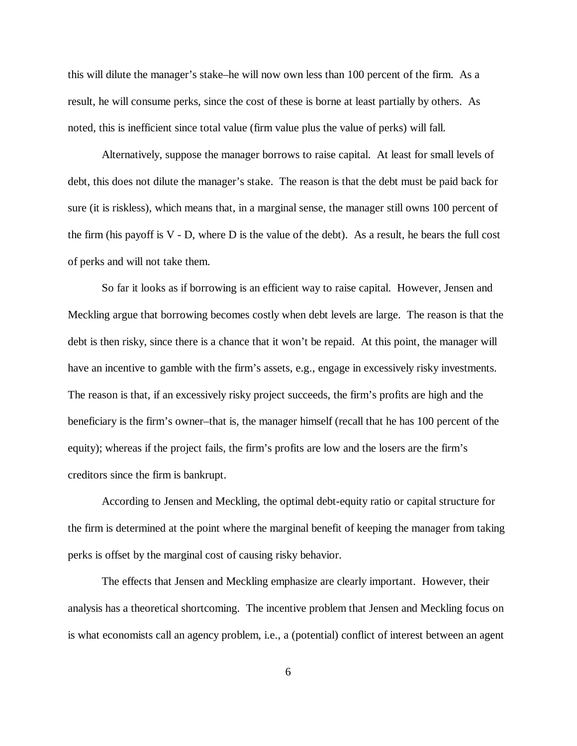this will dilute the manager's stake–he will now own less than 100 percent of the firm. As a result, he will consume perks, since the cost of these is borne at least partially by others. As noted, this is inefficient since total value (firm value plus the value of perks) will fall.

Alternatively, suppose the manager borrows to raise capital. At least for small levels of debt, this does not dilute the manager's stake. The reason is that the debt must be paid back for sure (it is riskless), which means that, in a marginal sense, the manager still owns 100 percent of the firm (his payoff is  $V - D$ , where  $D$  is the value of the debt). As a result, he bears the full cost of perks and will not take them.

So far it looks as if borrowing is an efficient way to raise capital. However, Jensen and Meckling argue that borrowing becomes costly when debt levels are large. The reason is that the debt is then risky, since there is a chance that it won't be repaid. At this point, the manager will have an incentive to gamble with the firm's assets, e.g., engage in excessively risky investments. The reason is that, if an excessively risky project succeeds, the firm's profits are high and the beneficiary is the firm's owner–that is, the manager himself (recall that he has 100 percent of the equity); whereas if the project fails, the firm's profits are low and the losers are the firm's creditors since the firm is bankrupt.

According to Jensen and Meckling, the optimal debt-equity ratio or capital structure for the firm is determined at the point where the marginal benefit of keeping the manager from taking perks is offset by the marginal cost of causing risky behavior.

The effects that Jensen and Meckling emphasize are clearly important. However, their analysis has a theoretical shortcoming. The incentive problem that Jensen and Meckling focus on is what economists call an agency problem, i.e., a (potential) conflict of interest between an agent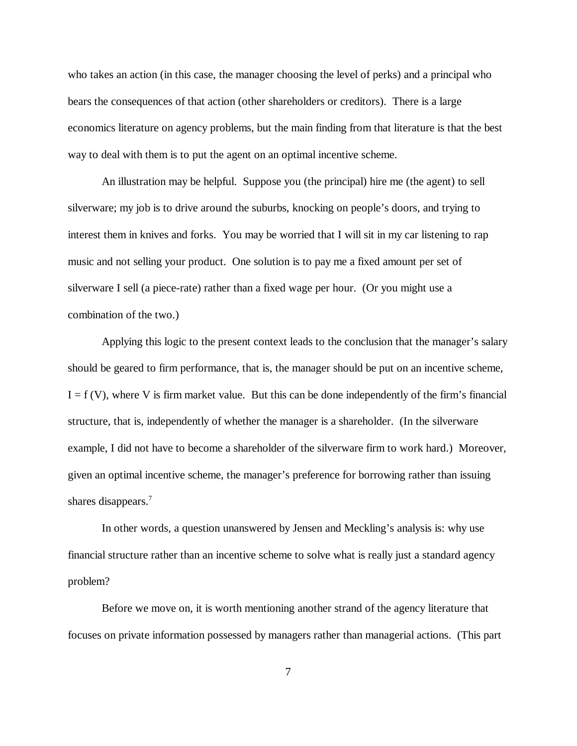who takes an action (in this case, the manager choosing the level of perks) and a principal who bears the consequences of that action (other shareholders or creditors). There is a large economics literature on agency problems, but the main finding from that literature is that the best way to deal with them is to put the agent on an optimal incentive scheme.

An illustration may be helpful. Suppose you (the principal) hire me (the agent) to sell silverware; my job is to drive around the suburbs, knocking on people's doors, and trying to interest them in knives and forks. You may be worried that I will sit in my car listening to rap music and not selling your product. One solution is to pay me a fixed amount per set of silverware I sell (a piece-rate) rather than a fixed wage per hour. (Or you might use a combination of the two.)

Applying this logic to the present context leads to the conclusion that the manager's salary should be geared to firm performance, that is, the manager should be put on an incentive scheme,  $I = f(V)$ , where V is firm market value. But this can be done independently of the firm's financial structure, that is, independently of whether the manager is a shareholder. (In the silverware example, I did not have to become a shareholder of the silverware firm to work hard.) Moreover, given an optimal incentive scheme, the manager's preference for borrowing rather than issuing shares disappears.<sup>7</sup>

In other words, a question unanswered by Jensen and Meckling's analysis is: why use financial structure rather than an incentive scheme to solve what is really just a standard agency problem?

Before we move on, it is worth mentioning another strand of the agency literature that focuses on private information possessed by managers rather than managerial actions. (This part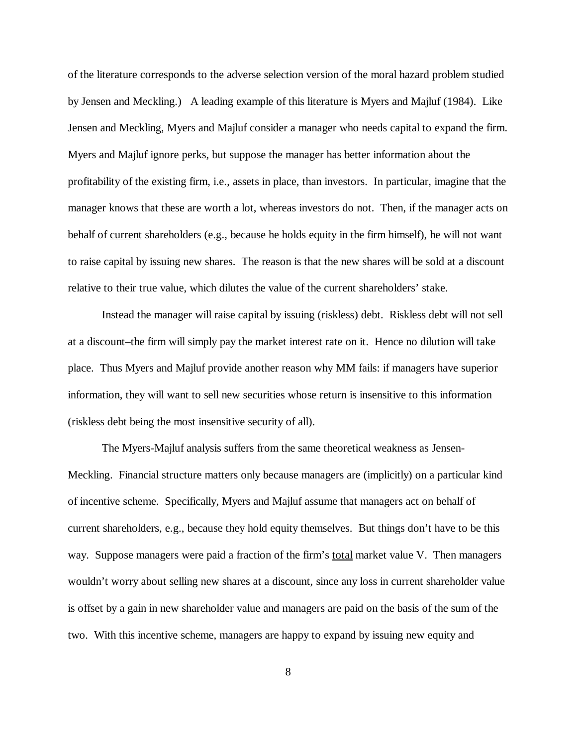of the literature corresponds to the adverse selection version of the moral hazard problem studied by Jensen and Meckling.) A leading example of this literature is Myers and Majluf (1984). Like Jensen and Meckling, Myers and Majluf consider a manager who needs capital to expand the firm. Myers and Majluf ignore perks, but suppose the manager has better information about the profitability of the existing firm, i.e., assets in place, than investors. In particular, imagine that the manager knows that these are worth a lot, whereas investors do not. Then, if the manager acts on behalf of current shareholders (e.g., because he holds equity in the firm himself), he will not want to raise capital by issuing new shares. The reason is that the new shares will be sold at a discount relative to their true value, which dilutes the value of the current shareholders' stake.

Instead the manager will raise capital by issuing (riskless) debt. Riskless debt will not sell at a discount–the firm will simply pay the market interest rate on it. Hence no dilution will take place. Thus Myers and Majluf provide another reason why MM fails: if managers have superior information, they will want to sell new securities whose return is insensitive to this information (riskless debt being the most insensitive security of all).

The Myers-Majluf analysis suffers from the same theoretical weakness as Jensen-Meckling. Financial structure matters only because managers are (implicitly) on a particular kind of incentive scheme. Specifically, Myers and Majluf assume that managers act on behalf of current shareholders, e.g., because they hold equity themselves. But things don't have to be this way. Suppose managers were paid a fraction of the firm's total market value V. Then managers wouldn't worry about selling new shares at a discount, since any loss in current shareholder value is offset by a gain in new shareholder value and managers are paid on the basis of the sum of the two. With this incentive scheme, managers are happy to expand by issuing new equity and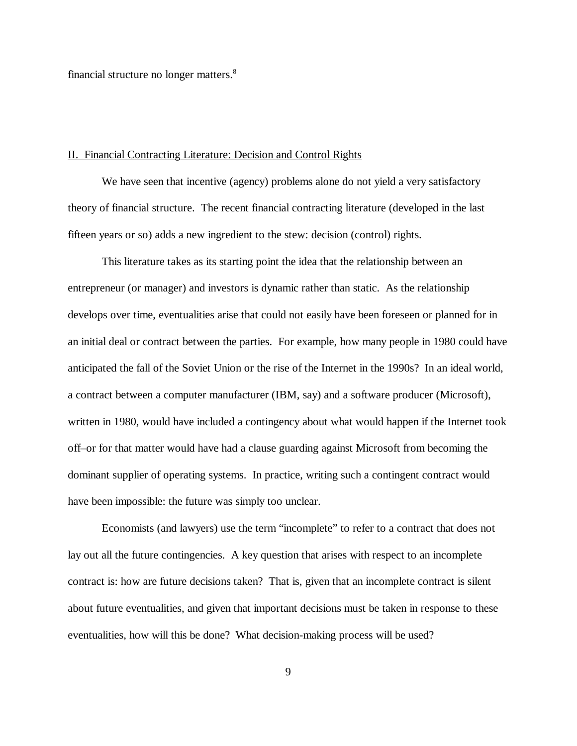financial structure no longer matters.<sup>8</sup>

## II. Financial Contracting Literature: Decision and Control Rights

We have seen that incentive (agency) problems alone do not yield a very satisfactory theory of financial structure. The recent financial contracting literature (developed in the last fifteen years or so) adds a new ingredient to the stew: decision (control) rights.

This literature takes as its starting point the idea that the relationship between an entrepreneur (or manager) and investors is dynamic rather than static. As the relationship develops over time, eventualities arise that could not easily have been foreseen or planned for in an initial deal or contract between the parties. For example, how many people in 1980 could have anticipated the fall of the Soviet Union or the rise of the Internet in the 1990s? In an ideal world, a contract between a computer manufacturer (IBM, say) and a software producer (Microsoft), written in 1980, would have included a contingency about what would happen if the Internet took off–or for that matter would have had a clause guarding against Microsoft from becoming the dominant supplier of operating systems. In practice, writing such a contingent contract would have been impossible: the future was simply too unclear.

Economists (and lawyers) use the term "incomplete" to refer to a contract that does not lay out all the future contingencies. A key question that arises with respect to an incomplete contract is: how are future decisions taken? That is, given that an incomplete contract is silent about future eventualities, and given that important decisions must be taken in response to these eventualities, how will this be done? What decision-making process will be used?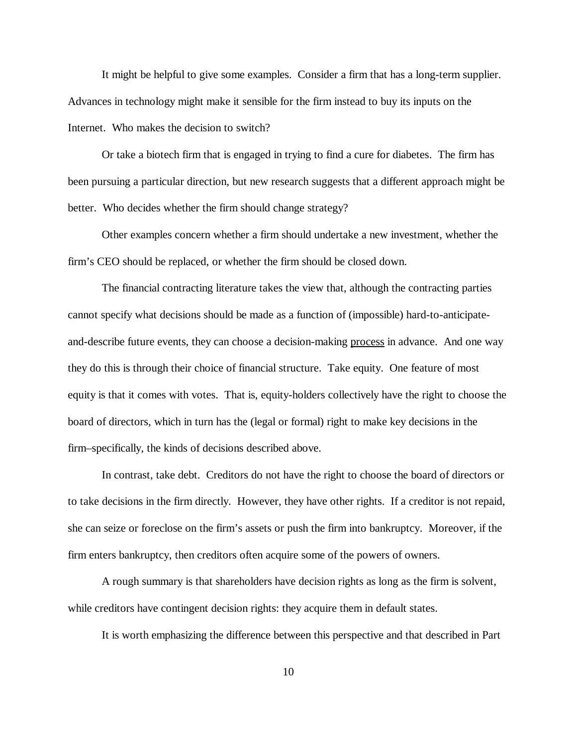It might be helpful to give some examples. Consider a firm that has a long-term supplier. Advances in technology might make it sensible for the firm instead to buy its inputs on the Internet. Who makes the decision to switch?

Or take a biotech firm that is engaged in trying to find a cure for diabetes. The firm has been pursuing a particular direction, but new research suggests that a different approach might be better. Who decides whether the firm should change strategy?

Other examples concern whether a firm should undertake a new investment, whether the firm's CEO should be replaced, or whether the firm should be closed down.

The financial contracting literature takes the view that, although the contracting parties cannot specify what decisions should be made as a function of (impossible) hard-to-anticipateand-describe future events, they can choose a decision-making process in advance. And one way they do this is through their choice of financial structure. Take equity. One feature of most equity is that it comes with votes. That is, equity-holders collectively have the right to choose the board of directors, which in turn has the (legal or formal) right to make key decisions in the firm–specifically, the kinds of decisions described above.

In contrast, take debt. Creditors do not have the right to choose the board of directors or to take decisions in the firm directly. However, they have other rights. If a creditor is not repaid, she can seize or foreclose on the firm's assets or push the firm into bankruptcy. Moreover, if the firm enters bankruptcy, then creditors often acquire some of the powers of owners.

A rough summary is that shareholders have decision rights as long as the firm is solvent, while creditors have contingent decision rights: they acquire them in default states.

It is worth emphasizing the difference between this perspective and that described in Part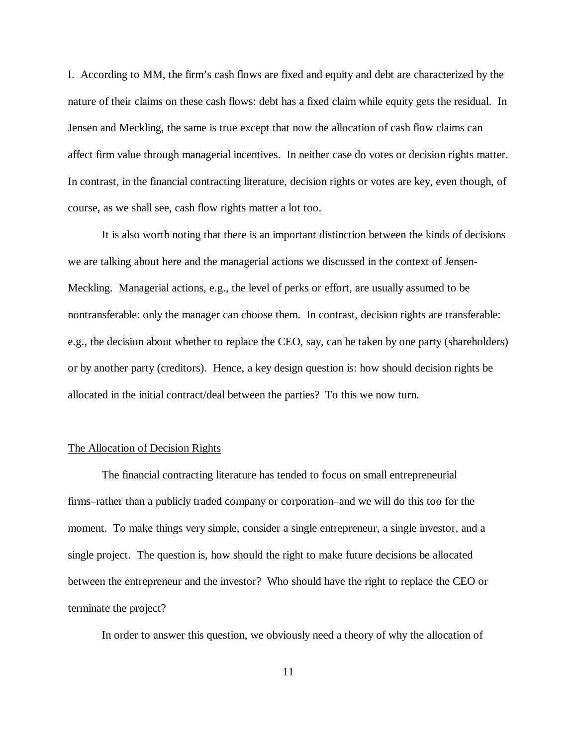I. According to MM, the firm's cash flows are fixed and equity and debt are characterized by the nature of their claims on these cash flows: debt has a fixed claim while equity gets the residual. In Jensen and Meckling, the same is true except that now the allocation of cash flow claims can affect firm value through managerial incentives. In neither case do votes or decision rights matter. In contrast, in the financial contracting literature, decision rights or votes are key, even though, of course, as we shall see, cash flow rights matter a lot too.

It is also worth noting that there is an important distinction between the kinds of decisions we are talking about here and the managerial actions we discussed in the context of Jensen-Meckling. Managerial actions, e.g., the level of perks or effort, are usually assumed to be nontransferable: only the manager can choose them. In contrast, decision rights are transferable: e.g., the decision about whether to replace the CEO, say, can be taken by one party (shareholders) or by another party (creditors). Hence, a key design question is: how should decision rights be allocated in the initial contract/deal between the parties? To this we now turn.

## The Allocation of Decision Rights

The financial contracting literature has tended to focus on small entrepreneurial firms–rather than a publicly traded company or corporation–and we will do this too for the moment. To make things very simple, consider a single entrepreneur, a single investor, and a single project. The question is, how should the right to make future decisions be allocated between the entrepreneur and the investor? Who should have the right to replace the CEO or terminate the project?

In order to answer this question, we obviously need a theory of why the allocation of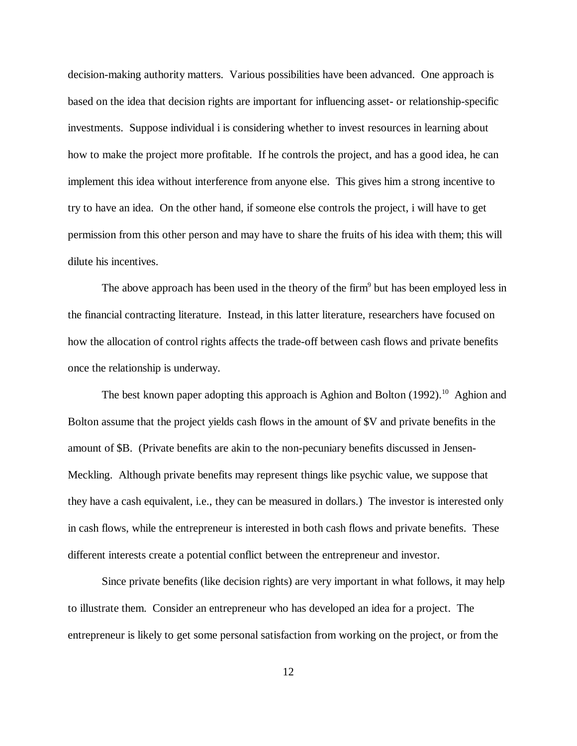decision-making authority matters. Various possibilities have been advanced. One approach is based on the idea that decision rights are important for influencing asset- or relationship-specific investments. Suppose individual i is considering whether to invest resources in learning about how to make the project more profitable. If he controls the project, and has a good idea, he can implement this idea without interference from anyone else. This gives him a strong incentive to try to have an idea. On the other hand, if someone else controls the project, i will have to get permission from this other person and may have to share the fruits of his idea with them; this will dilute his incentives.

The above approach has been used in the theory of the firm<sup>9</sup> but has been employed less in the financial contracting literature. Instead, in this latter literature, researchers have focused on how the allocation of control rights affects the trade-off between cash flows and private benefits once the relationship is underway.

The best known paper adopting this approach is Aghion and Bolton  $(1992)$ <sup>10</sup> Aghion and Bolton assume that the project yields cash flows in the amount of \$V and private benefits in the amount of \$B. (Private benefits are akin to the non-pecuniary benefits discussed in Jensen-Meckling. Although private benefits may represent things like psychic value, we suppose that they have a cash equivalent, i.e., they can be measured in dollars.) The investor is interested only in cash flows, while the entrepreneur is interested in both cash flows and private benefits. These different interests create a potential conflict between the entrepreneur and investor.

Since private benefits (like decision rights) are very important in what follows, it may help to illustrate them. Consider an entrepreneur who has developed an idea for a project. The entrepreneur is likely to get some personal satisfaction from working on the project, or from the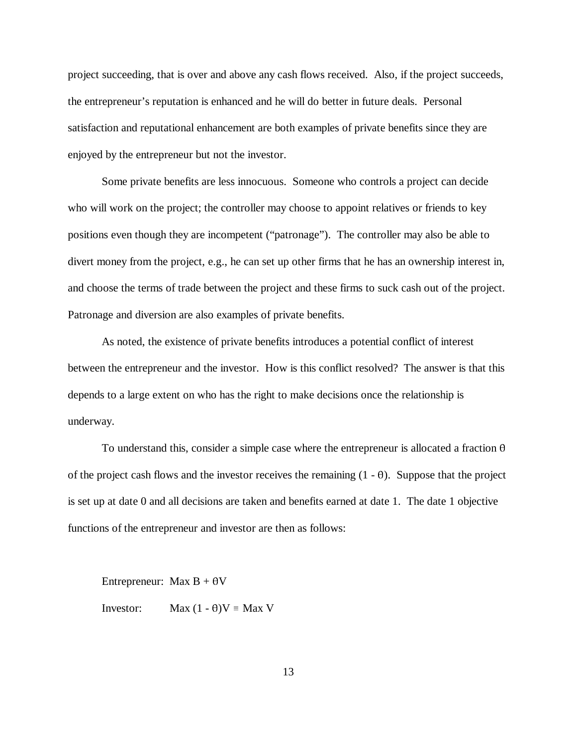project succeeding, that is over and above any cash flows received. Also, if the project succeeds, the entrepreneur's reputation is enhanced and he will do better in future deals. Personal satisfaction and reputational enhancement are both examples of private benefits since they are enjoyed by the entrepreneur but not the investor.

Some private benefits are less innocuous. Someone who controls a project can decide who will work on the project; the controller may choose to appoint relatives or friends to key positions even though they are incompetent ("patronage"). The controller may also be able to divert money from the project, e.g., he can set up other firms that he has an ownership interest in, and choose the terms of trade between the project and these firms to suck cash out of the project. Patronage and diversion are also examples of private benefits.

As noted, the existence of private benefits introduces a potential conflict of interest between the entrepreneur and the investor. How is this conflict resolved? The answer is that this depends to a large extent on who has the right to make decisions once the relationship is underway.

To understand this, consider a simple case where the entrepreneur is allocated a fraction  $\theta$ of the project cash flows and the investor receives the remaining  $(1 - \theta)$ . Suppose that the project is set up at date 0 and all decisions are taken and benefits earned at date 1. The date 1 objective functions of the entrepreneur and investor are then as follows:

Entrepreneur: Max  $B + \theta V$ 

Investor: Max  $(1 - \theta)V = Max V$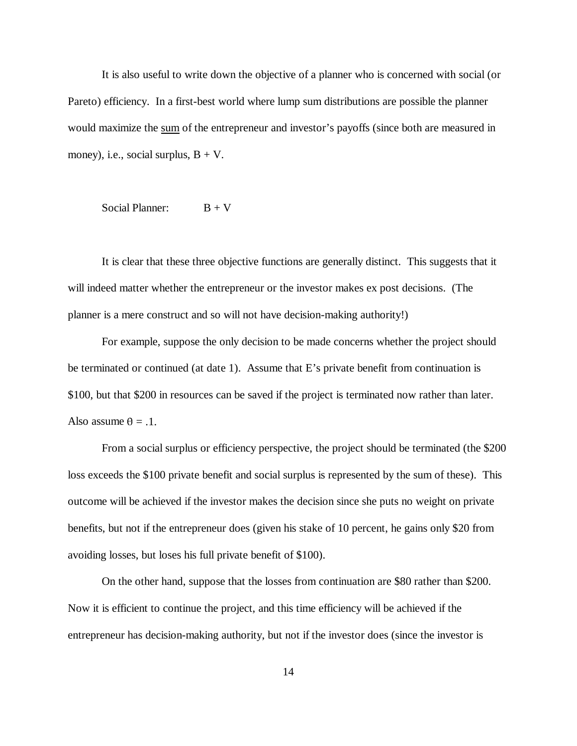It is also useful to write down the objective of a planner who is concerned with social (or Pareto) efficiency. In a first-best world where lump sum distributions are possible the planner would maximize the sum of the entrepreneur and investor's payoffs (since both are measured in money), i.e., social surplus,  $B + V$ .

Social Planner:  $B + V$ 

It is clear that these three objective functions are generally distinct. This suggests that it will indeed matter whether the entrepreneur or the investor makes ex post decisions. (The planner is a mere construct and so will not have decision-making authority!)

For example, suppose the only decision to be made concerns whether the project should be terminated or continued (at date 1). Assume that E's private benefit from continuation is \$100, but that \$200 in resources can be saved if the project is terminated now rather than later. Also assume  $\theta = .1$ .

From a social surplus or efficiency perspective, the project should be terminated (the \$200 loss exceeds the \$100 private benefit and social surplus is represented by the sum of these). This outcome will be achieved if the investor makes the decision since she puts no weight on private benefits, but not if the entrepreneur does (given his stake of 10 percent, he gains only \$20 from avoiding losses, but loses his full private benefit of \$100).

On the other hand, suppose that the losses from continuation are \$80 rather than \$200. Now it is efficient to continue the project, and this time efficiency will be achieved if the entrepreneur has decision-making authority, but not if the investor does (since the investor is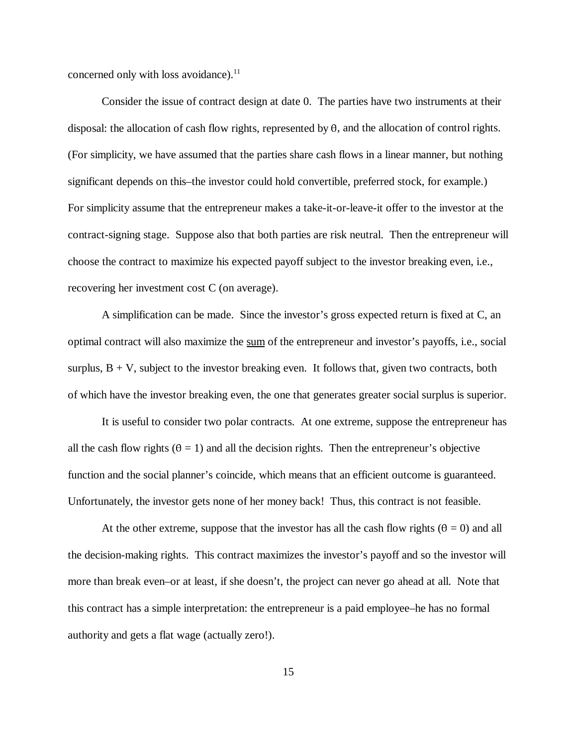concerned only with loss avoidance).<sup>11</sup>

Consider the issue of contract design at date 0. The parties have two instruments at their disposal: the allocation of cash flow rights, represented by  $\theta$ , and the allocation of control rights. (For simplicity, we have assumed that the parties share cash flows in a linear manner, but nothing significant depends on this–the investor could hold convertible, preferred stock, for example.) For simplicity assume that the entrepreneur makes a take-it-or-leave-it offer to the investor at the contract-signing stage. Suppose also that both parties are risk neutral. Then the entrepreneur will choose the contract to maximize his expected payoff subject to the investor breaking even, i.e., recovering her investment cost C (on average).

A simplification can be made. Since the investor's gross expected return is fixed at C, an optimal contract will also maximize the sum of the entrepreneur and investor's payoffs, i.e., social surplus,  $B + V$ , subject to the investor breaking even. It follows that, given two contracts, both of which have the investor breaking even, the one that generates greater social surplus is superior.

It is useful to consider two polar contracts. At one extreme, suppose the entrepreneur has all the cash flow rights ( $\theta = 1$ ) and all the decision rights. Then the entrepreneur's objective function and the social planner's coincide, which means that an efficient outcome is guaranteed. Unfortunately, the investor gets none of her money back! Thus, this contract is not feasible.

At the other extreme, suppose that the investor has all the cash flow rights ( $\theta = 0$ ) and all the decision-making rights. This contract maximizes the investor's payoff and so the investor will more than break even–or at least, if she doesn't, the project can never go ahead at all. Note that this contract has a simple interpretation: the entrepreneur is a paid employee–he has no formal authority and gets a flat wage (actually zero!).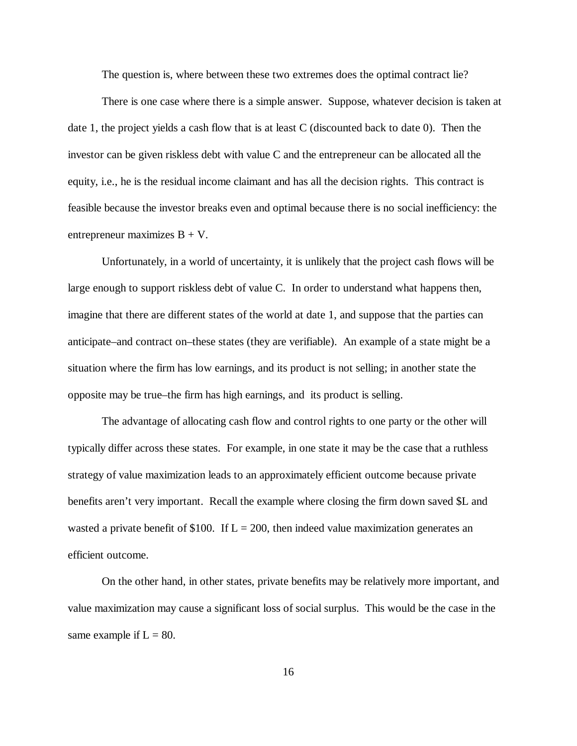The question is, where between these two extremes does the optimal contract lie?

There is one case where there is a simple answer. Suppose, whatever decision is taken at date 1, the project yields a cash flow that is at least C (discounted back to date 0). Then the investor can be given riskless debt with value C and the entrepreneur can be allocated all the equity, i.e., he is the residual income claimant and has all the decision rights. This contract is feasible because the investor breaks even and optimal because there is no social inefficiency: the entrepreneur maximizes  $B + V$ .

Unfortunately, in a world of uncertainty, it is unlikely that the project cash flows will be large enough to support riskless debt of value C. In order to understand what happens then, imagine that there are different states of the world at date 1, and suppose that the parties can anticipate–and contract on–these states (they are verifiable). An example of a state might be a situation where the firm has low earnings, and its product is not selling; in another state the opposite may be true–the firm has high earnings, and its product is selling.

The advantage of allocating cash flow and control rights to one party or the other will typically differ across these states. For example, in one state it may be the case that a ruthless strategy of value maximization leads to an approximately efficient outcome because private benefits aren't very important. Recall the example where closing the firm down saved \$L and wasted a private benefit of \$100. If  $L = 200$ , then indeed value maximization generates an efficient outcome.

On the other hand, in other states, private benefits may be relatively more important, and value maximization may cause a significant loss of social surplus. This would be the case in the same example if  $L = 80$ .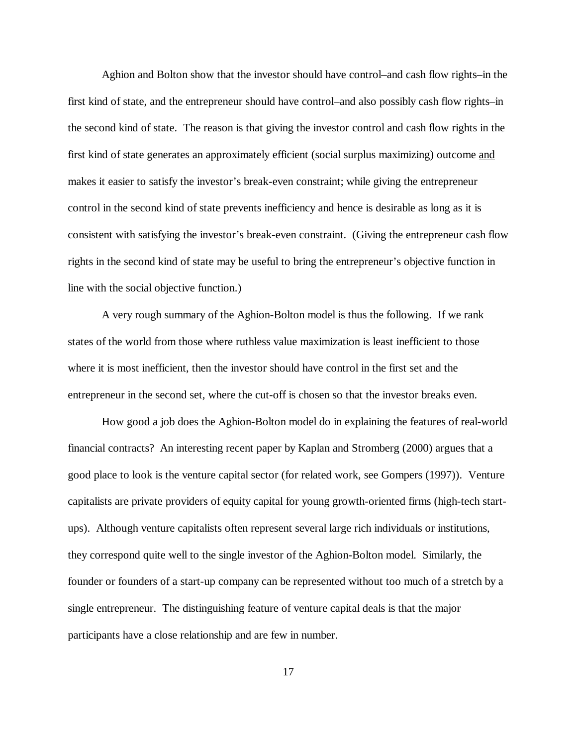Aghion and Bolton show that the investor should have control–and cash flow rights–in the first kind of state, and the entrepreneur should have control–and also possibly cash flow rights–in the second kind of state. The reason is that giving the investor control and cash flow rights in the first kind of state generates an approximately efficient (social surplus maximizing) outcome and makes it easier to satisfy the investor's break-even constraint; while giving the entrepreneur control in the second kind of state prevents inefficiency and hence is desirable as long as it is consistent with satisfying the investor's break-even constraint. (Giving the entrepreneur cash flow rights in the second kind of state may be useful to bring the entrepreneur's objective function in line with the social objective function.)

A very rough summary of the Aghion-Bolton model is thus the following. If we rank states of the world from those where ruthless value maximization is least inefficient to those where it is most inefficient, then the investor should have control in the first set and the entrepreneur in the second set, where the cut-off is chosen so that the investor breaks even.

How good a job does the Aghion-Bolton model do in explaining the features of real-world financial contracts? An interesting recent paper by Kaplan and Stromberg (2000) argues that a good place to look is the venture capital sector (for related work, see Gompers (1997)). Venture capitalists are private providers of equity capital for young growth-oriented firms (high-tech startups). Although venture capitalists often represent several large rich individuals or institutions, they correspond quite well to the single investor of the Aghion-Bolton model. Similarly, the founder or founders of a start-up company can be represented without too much of a stretch by a single entrepreneur. The distinguishing feature of venture capital deals is that the major participants have a close relationship and are few in number.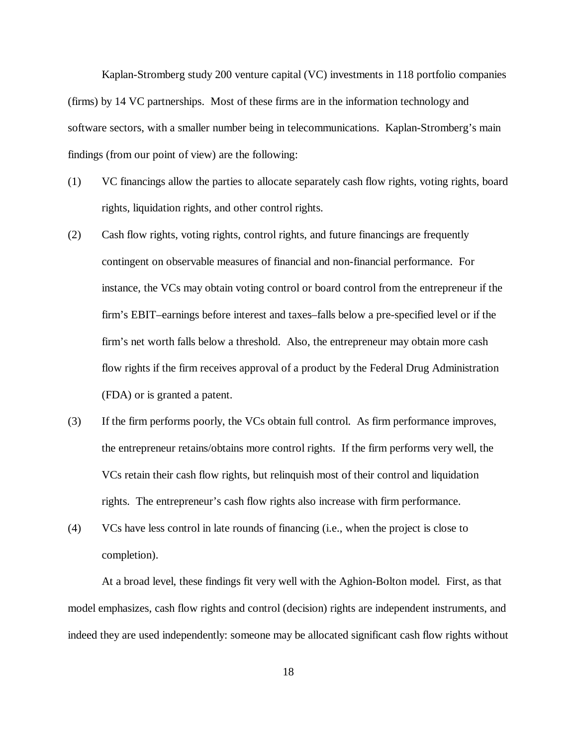Kaplan-Stromberg study 200 venture capital (VC) investments in 118 portfolio companies (firms) by 14 VC partnerships. Most of these firms are in the information technology and software sectors, with a smaller number being in telecommunications. Kaplan-Stromberg's main findings (from our point of view) are the following:

- (1) VC financings allow the parties to allocate separately cash flow rights, voting rights, board rights, liquidation rights, and other control rights.
- (2) Cash flow rights, voting rights, control rights, and future financings are frequently contingent on observable measures of financial and non-financial performance. For instance, the VCs may obtain voting control or board control from the entrepreneur if the firm's EBIT–earnings before interest and taxes–falls below a pre-specified level or if the firm's net worth falls below a threshold. Also, the entrepreneur may obtain more cash flow rights if the firm receives approval of a product by the Federal Drug Administration (FDA) or is granted a patent.
- (3) If the firm performs poorly, the VCs obtain full control. As firm performance improves, the entrepreneur retains/obtains more control rights. If the firm performs very well, the VCs retain their cash flow rights, but relinquish most of their control and liquidation rights. The entrepreneur's cash flow rights also increase with firm performance.
- (4) VCs have less control in late rounds of financing (i.e., when the project is close to completion).

At a broad level, these findings fit very well with the Aghion-Bolton model. First, as that model emphasizes, cash flow rights and control (decision) rights are independent instruments, and indeed they are used independently: someone may be allocated significant cash flow rights without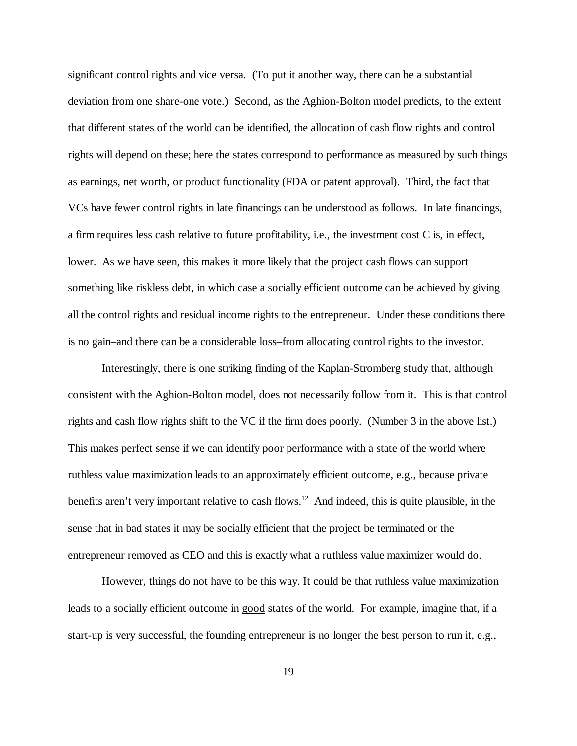significant control rights and vice versa. (To put it another way, there can be a substantial deviation from one share-one vote.) Second, as the Aghion-Bolton model predicts, to the extent that different states of the world can be identified, the allocation of cash flow rights and control rights will depend on these; here the states correspond to performance as measured by such things as earnings, net worth, or product functionality (FDA or patent approval). Third, the fact that VCs have fewer control rights in late financings can be understood as follows. In late financings, a firm requires less cash relative to future profitability, i.e., the investment cost C is, in effect, lower. As we have seen, this makes it more likely that the project cash flows can support something like riskless debt, in which case a socially efficient outcome can be achieved by giving all the control rights and residual income rights to the entrepreneur. Under these conditions there is no gain–and there can be a considerable loss–from allocating control rights to the investor.

Interestingly, there is one striking finding of the Kaplan-Stromberg study that, although consistent with the Aghion-Bolton model, does not necessarily follow from it. This is that control rights and cash flow rights shift to the VC if the firm does poorly. (Number 3 in the above list.) This makes perfect sense if we can identify poor performance with a state of the world where ruthless value maximization leads to an approximately efficient outcome, e.g., because private benefits aren't very important relative to cash flows.<sup>12</sup> And indeed, this is quite plausible, in the sense that in bad states it may be socially efficient that the project be terminated or the entrepreneur removed as CEO and this is exactly what a ruthless value maximizer would do.

However, things do not have to be this way. It could be that ruthless value maximization leads to a socially efficient outcome in good states of the world. For example, imagine that, if a start-up is very successful, the founding entrepreneur is no longer the best person to run it, e.g.,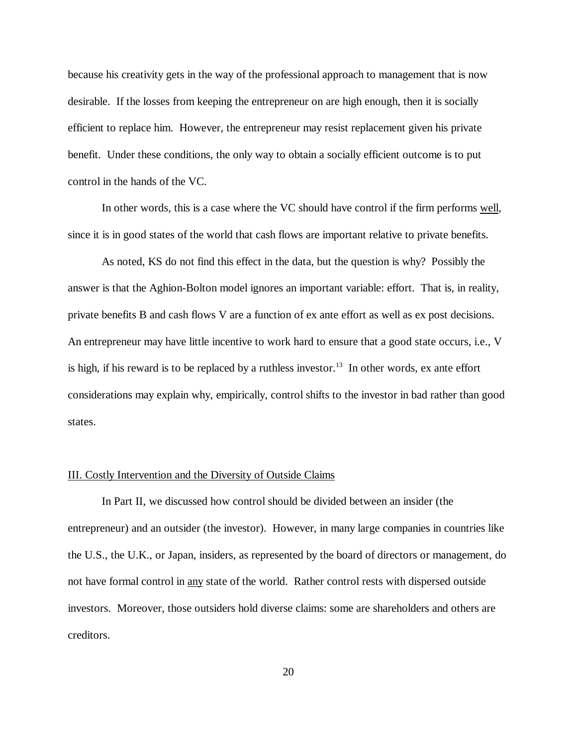because his creativity gets in the way of the professional approach to management that is now desirable. If the losses from keeping the entrepreneur on are high enough, then it is socially efficient to replace him. However, the entrepreneur may resist replacement given his private benefit. Under these conditions, the only way to obtain a socially efficient outcome is to put control in the hands of the VC.

In other words, this is a case where the VC should have control if the firm performs well, since it is in good states of the world that cash flows are important relative to private benefits.

As noted, KS do not find this effect in the data, but the question is why? Possibly the answer is that the Aghion-Bolton model ignores an important variable: effort. That is, in reality, private benefits B and cash flows V are a function of ex ante effort as well as ex post decisions. An entrepreneur may have little incentive to work hard to ensure that a good state occurs, i.e., V is high, if his reward is to be replaced by a ruthless investor.<sup>13</sup> In other words, ex ante effort considerations may explain why, empirically, control shifts to the investor in bad rather than good states.

## III. Costly Intervention and the Diversity of Outside Claims

In Part II, we discussed how control should be divided between an insider (the entrepreneur) and an outsider (the investor). However, in many large companies in countries like the U.S., the U.K., or Japan, insiders, as represented by the board of directors or management, do not have formal control in any state of the world. Rather control rests with dispersed outside investors. Moreover, those outsiders hold diverse claims: some are shareholders and others are creditors.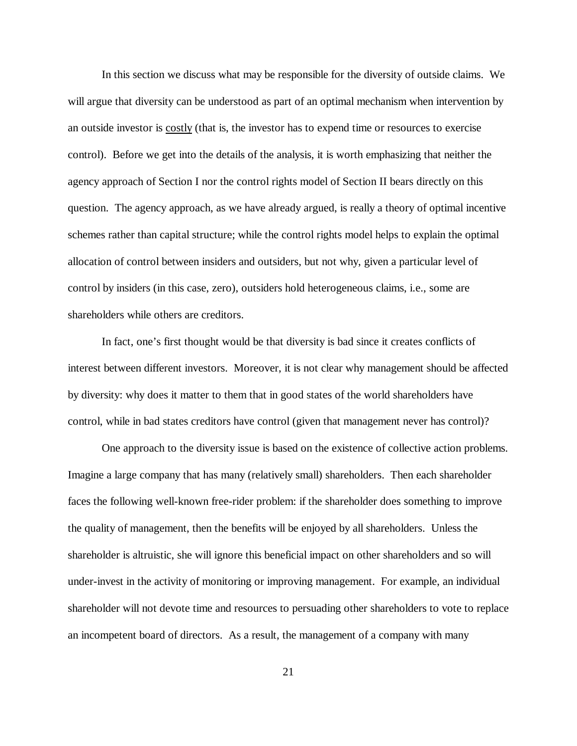In this section we discuss what may be responsible for the diversity of outside claims. We will argue that diversity can be understood as part of an optimal mechanism when intervention by an outside investor is costly (that is, the investor has to expend time or resources to exercise control). Before we get into the details of the analysis, it is worth emphasizing that neither the agency approach of Section I nor the control rights model of Section II bears directly on this question. The agency approach, as we have already argued, is really a theory of optimal incentive schemes rather than capital structure; while the control rights model helps to explain the optimal allocation of control between insiders and outsiders, but not why, given a particular level of control by insiders (in this case, zero), outsiders hold heterogeneous claims, i.e., some are shareholders while others are creditors.

In fact, one's first thought would be that diversity is bad since it creates conflicts of interest between different investors. Moreover, it is not clear why management should be affected by diversity: why does it matter to them that in good states of the world shareholders have control, while in bad states creditors have control (given that management never has control)?

One approach to the diversity issue is based on the existence of collective action problems. Imagine a large company that has many (relatively small) shareholders. Then each shareholder faces the following well-known free-rider problem: if the shareholder does something to improve the quality of management, then the benefits will be enjoyed by all shareholders. Unless the shareholder is altruistic, she will ignore this beneficial impact on other shareholders and so will under-invest in the activity of monitoring or improving management. For example, an individual shareholder will not devote time and resources to persuading other shareholders to vote to replace an incompetent board of directors. As a result, the management of a company with many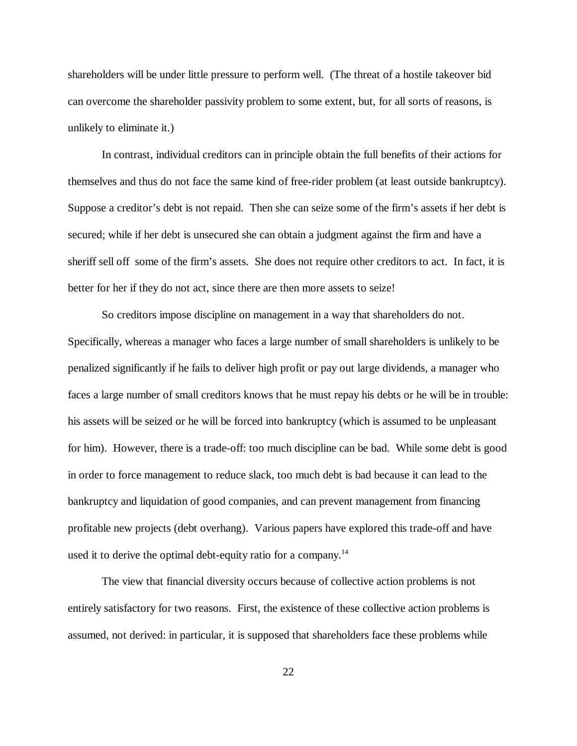shareholders will be under little pressure to perform well. (The threat of a hostile takeover bid can overcome the shareholder passivity problem to some extent, but, for all sorts of reasons, is unlikely to eliminate it.)

In contrast, individual creditors can in principle obtain the full benefits of their actions for themselves and thus do not face the same kind of free-rider problem (at least outside bankruptcy). Suppose a creditor's debt is not repaid. Then she can seize some of the firm's assets if her debt is secured; while if her debt is unsecured she can obtain a judgment against the firm and have a sheriff sell off some of the firm's assets. She does not require other creditors to act. In fact, it is better for her if they do not act, since there are then more assets to seize!

So creditors impose discipline on management in a way that shareholders do not. Specifically, whereas a manager who faces a large number of small shareholders is unlikely to be penalized significantly if he fails to deliver high profit or pay out large dividends, a manager who faces a large number of small creditors knows that he must repay his debts or he will be in trouble: his assets will be seized or he will be forced into bankruptcy (which is assumed to be unpleasant for him). However, there is a trade-off: too much discipline can be bad. While some debt is good in order to force management to reduce slack, too much debt is bad because it can lead to the bankruptcy and liquidation of good companies, and can prevent management from financing profitable new projects (debt overhang). Various papers have explored this trade-off and have used it to derive the optimal debt-equity ratio for a company.<sup>14</sup>

The view that financial diversity occurs because of collective action problems is not entirely satisfactory for two reasons. First, the existence of these collective action problems is assumed, not derived: in particular, it is supposed that shareholders face these problems while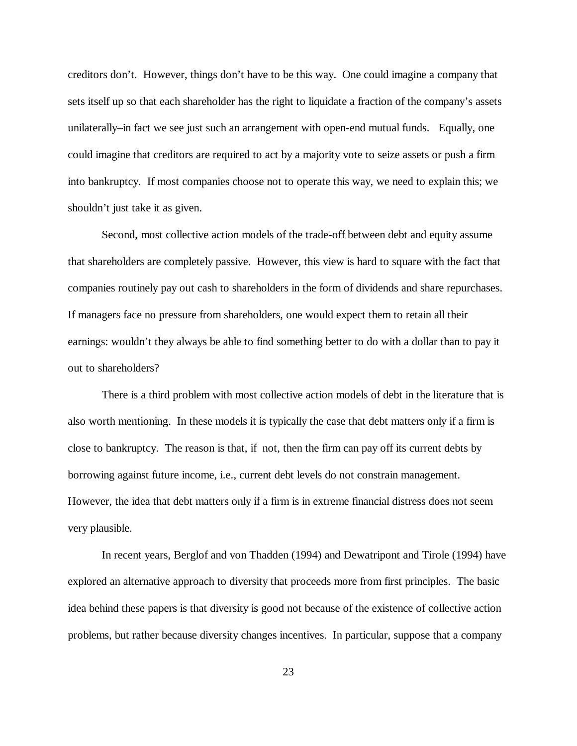creditors don't. However, things don't have to be this way. One could imagine a company that sets itself up so that each shareholder has the right to liquidate a fraction of the company's assets unilaterally–in fact we see just such an arrangement with open-end mutual funds. Equally, one could imagine that creditors are required to act by a majority vote to seize assets or push a firm into bankruptcy. If most companies choose not to operate this way, we need to explain this; we shouldn't just take it as given.

Second, most collective action models of the trade-off between debt and equity assume that shareholders are completely passive. However, this view is hard to square with the fact that companies routinely pay out cash to shareholders in the form of dividends and share repurchases. If managers face no pressure from shareholders, one would expect them to retain all their earnings: wouldn't they always be able to find something better to do with a dollar than to pay it out to shareholders?

There is a third problem with most collective action models of debt in the literature that is also worth mentioning. In these models it is typically the case that debt matters only if a firm is close to bankruptcy. The reason is that, if not, then the firm can pay off its current debts by borrowing against future income, i.e., current debt levels do not constrain management. However, the idea that debt matters only if a firm is in extreme financial distress does not seem very plausible.

In recent years, Berglof and von Thadden (1994) and Dewatripont and Tirole (1994) have explored an alternative approach to diversity that proceeds more from first principles. The basic idea behind these papers is that diversity is good not because of the existence of collective action problems, but rather because diversity changes incentives. In particular, suppose that a company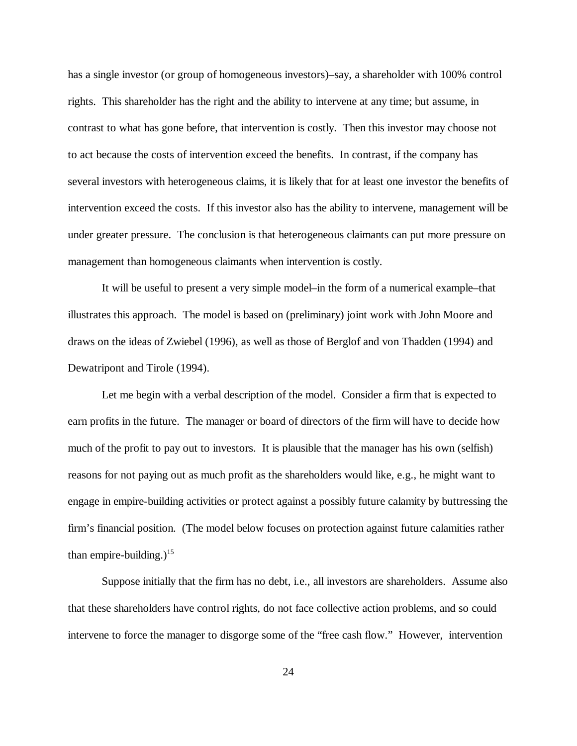has a single investor (or group of homogeneous investors)–say, a shareholder with 100% control rights. This shareholder has the right and the ability to intervene at any time; but assume, in contrast to what has gone before, that intervention is costly. Then this investor may choose not to act because the costs of intervention exceed the benefits. In contrast, if the company has several investors with heterogeneous claims, it is likely that for at least one investor the benefits of intervention exceed the costs. If this investor also has the ability to intervene, management will be under greater pressure. The conclusion is that heterogeneous claimants can put more pressure on management than homogeneous claimants when intervention is costly.

It will be useful to present a very simple model–in the form of a numerical example–that illustrates this approach. The model is based on (preliminary) joint work with John Moore and draws on the ideas of Zwiebel (1996), as well as those of Berglof and von Thadden (1994) and Dewatripont and Tirole (1994).

Let me begin with a verbal description of the model. Consider a firm that is expected to earn profits in the future. The manager or board of directors of the firm will have to decide how much of the profit to pay out to investors. It is plausible that the manager has his own (selfish) reasons for not paying out as much profit as the shareholders would like, e.g., he might want to engage in empire-building activities or protect against a possibly future calamity by buttressing the firm's financial position. (The model below focuses on protection against future calamities rather than empire-building.)<sup>15</sup>

Suppose initially that the firm has no debt, i.e., all investors are shareholders. Assume also that these shareholders have control rights, do not face collective action problems, and so could intervene to force the manager to disgorge some of the "free cash flow." However, intervention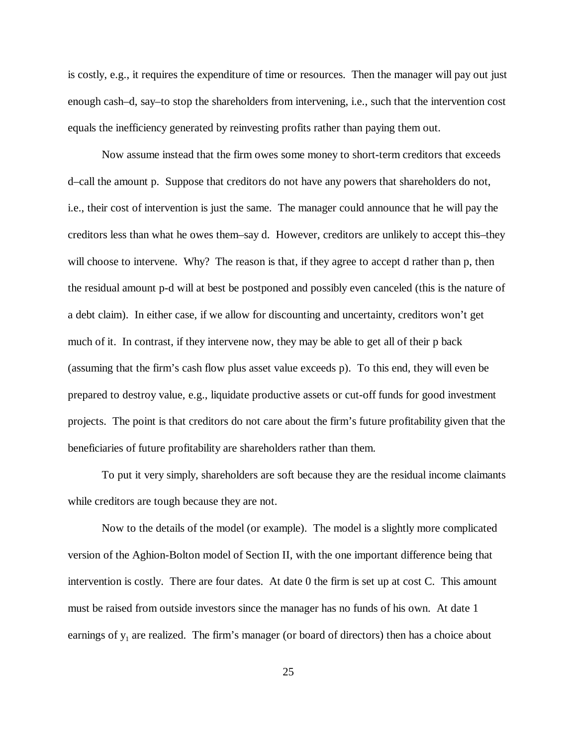is costly, e.g., it requires the expenditure of time or resources. Then the manager will pay out just enough cash–d, say–to stop the shareholders from intervening, i.e., such that the intervention cost equals the inefficiency generated by reinvesting profits rather than paying them out.

Now assume instead that the firm owes some money to short-term creditors that exceeds d–call the amount p. Suppose that creditors do not have any powers that shareholders do not, i.e., their cost of intervention is just the same. The manager could announce that he will pay the creditors less than what he owes them–say d. However, creditors are unlikely to accept this–they will choose to intervene. Why? The reason is that, if they agree to accept d rather than p, then the residual amount p-d will at best be postponed and possibly even canceled (this is the nature of a debt claim). In either case, if we allow for discounting and uncertainty, creditors won't get much of it. In contrast, if they intervene now, they may be able to get all of their p back (assuming that the firm's cash flow plus asset value exceeds p). To this end, they will even be prepared to destroy value, e.g., liquidate productive assets or cut-off funds for good investment projects. The point is that creditors do not care about the firm's future profitability given that the beneficiaries of future profitability are shareholders rather than them.

To put it very simply, shareholders are soft because they are the residual income claimants while creditors are tough because they are not.

 Now to the details of the model (or example). The model is a slightly more complicated version of the Aghion-Bolton model of Section II, with the one important difference being that intervention is costly. There are four dates. At date 0 the firm is set up at cost C. This amount must be raised from outside investors since the manager has no funds of his own. At date 1 earnings of  $y_1$  are realized. The firm's manager (or board of directors) then has a choice about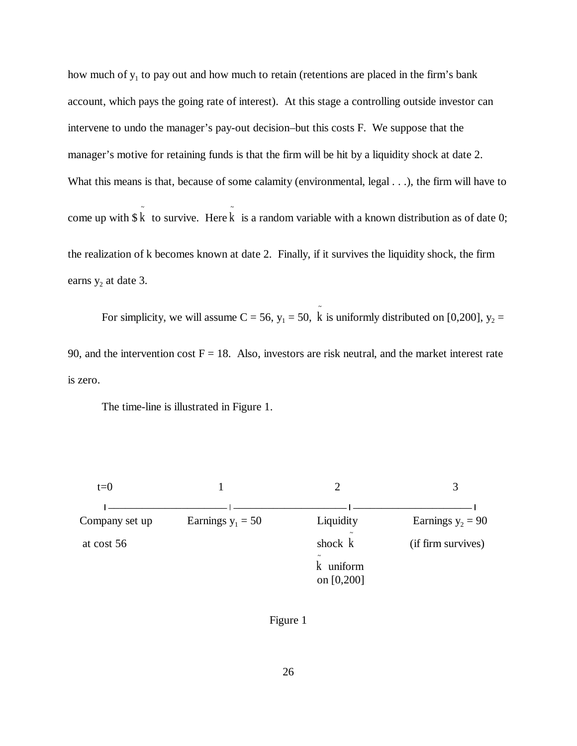how much of  $y_1$  to pay out and how much to retain (retentions are placed in the firm's bank account, which pays the going rate of interest). At this stage a controlling outside investor can intervene to undo the manager's pay-out decision–but this costs F. We suppose that the manager's motive for retaining funds is that the firm will be hit by a liquidity shock at date 2. What this means is that, because of some calamity (environmental, legal . . .), the firm will have to come up with  $\&$  k to survive. Here k is a random variable with a known distribution as of date 0; ~ k ~ the realization of k becomes known at date 2. Finally, if it survives the liquidity shock, the firm earns  $y_2$  at date 3.

For simplicity, we will assume C = 56,  $y_1 = 50$ , k is uniformly distributed on [0,200],  $y_2 =$ 90, and the intervention cost  $F = 18$ . Also, investors are risk neutral, and the market interest rate is zero.

~

The time-line is illustrated in Figure 1.

 $t=0$  1 2 3 7\_\_\_\_\_\_\_\_\_\_\_\_\_\_\_\_\_\_\_\_\_7\_\_\_\_\_\_\_\_\_\_\_\_\_\_\_\_\_\_\_\_7\_\_\_\_\_\_\_\_\_\_\_\_\_\_\_\_\_\_\_\_\_7 Company set up Earnings  $y_1 = 50$  Liquidity Earnings  $y_2 = 90$ at cost  $56$  shock k (if firm survives) ~ k uniform ~ on [0,200]

Figure 1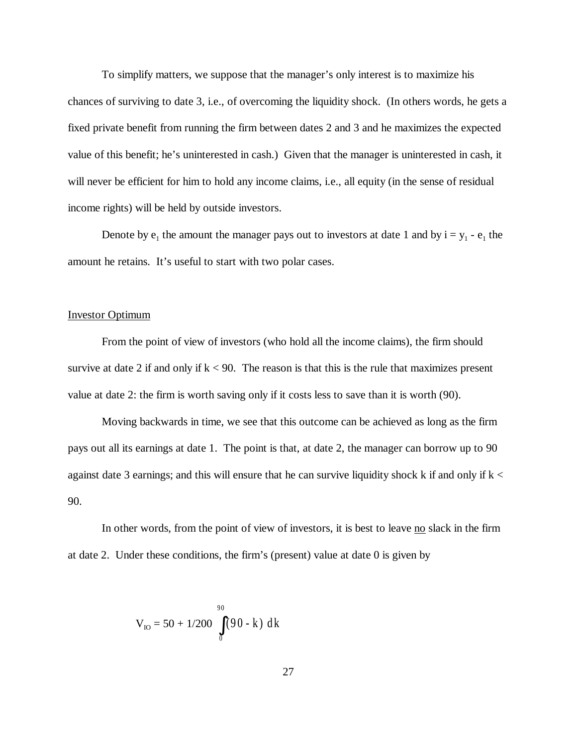To simplify matters, we suppose that the manager's only interest is to maximize his chances of surviving to date 3, i.e., of overcoming the liquidity shock. (In others words, he gets a fixed private benefit from running the firm between dates 2 and 3 and he maximizes the expected value of this benefit; he's uninterested in cash.) Given that the manager is uninterested in cash, it will never be efficient for him to hold any income claims, i.e., all equity (in the sense of residual income rights) will be held by outside investors.

Denote by  $e_1$  the amount the manager pays out to investors at date 1 and by  $i = y_1 - e_1$  the amount he retains. It's useful to start with two polar cases.

### Investor Optimum

From the point of view of investors (who hold all the income claims), the firm should survive at date 2 if and only if  $k < 90$ . The reason is that this is the rule that maximizes present value at date 2: the firm is worth saving only if it costs less to save than it is worth (90).

Moving backwards in time, we see that this outcome can be achieved as long as the firm pays out all its earnings at date 1. The point is that, at date 2, the manager can borrow up to 90 against date 3 earnings; and this will ensure that he can survive liquidity shock k if and only if  $k <$ 90.

In other words, from the point of view of investors, it is best to leave no slack in the firm at date 2. Under these conditions, the firm's (present) value at date 0 is given by

$$
V_{\text{IO}} = 50 + 1/200 \int_{0}^{90} (90 - k) dk
$$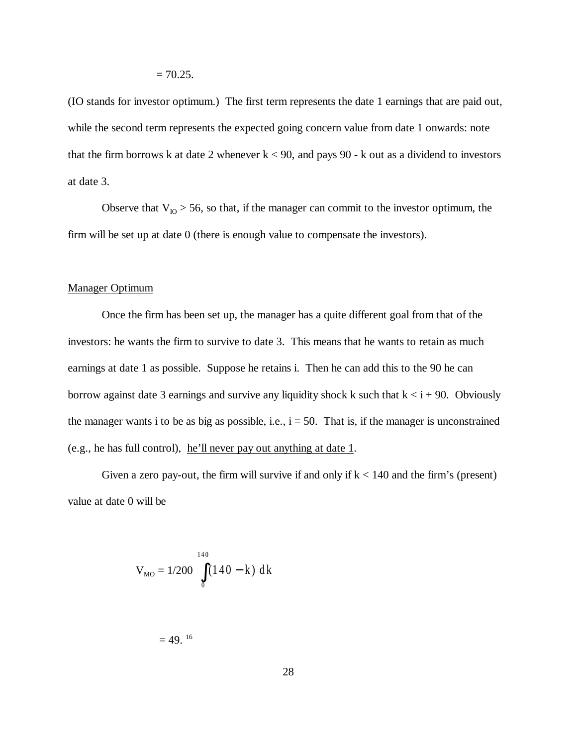(IO stands for investor optimum.) The first term represents the date 1 earnings that are paid out, while the second term represents the expected going concern value from date 1 onwards: note that the firm borrows k at date 2 whenever  $k < 90$ , and pays 90 - k out as a dividend to investors at date 3.

Observe that  $V_{10} > 56$ , so that, if the manager can commit to the investor optimum, the firm will be set up at date 0 (there is enough value to compensate the investors).

### Manager Optimum

 $= 70.25.$ 

Once the firm has been set up, the manager has a quite different goal from that of the investors: he wants the firm to survive to date 3. This means that he wants to retain as much earnings at date 1 as possible. Suppose he retains i. Then he can add this to the 90 he can borrow against date 3 earnings and survive any liquidity shock k such that  $k < i + 90$ . Obviously the manager wants i to be as big as possible, i.e.,  $i = 50$ . That is, if the manager is unconstrained (e.g., he has full control), he'll never pay out anything at date 1.

Given a zero pay-out, the firm will survive if and only if  $k < 140$  and the firm's (present) value at date 0 will be

$$
V_{MO} = 1/200 \int_{0}^{140} (140 - k) dk
$$

$$
=49.16
$$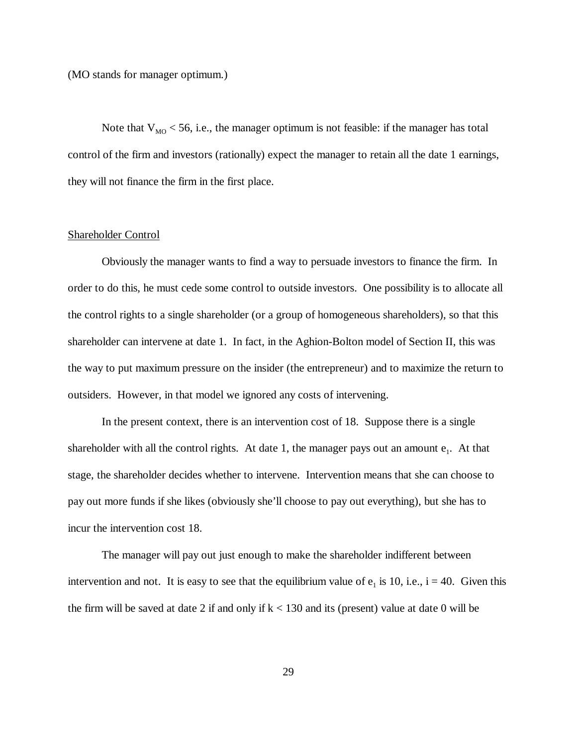(MO stands for manager optimum.)

Note that  $V_{M0}$  < 56, i.e., the manager optimum is not feasible: if the manager has total control of the firm and investors (rationally) expect the manager to retain all the date 1 earnings, they will not finance the firm in the first place.

## Shareholder Control

Obviously the manager wants to find a way to persuade investors to finance the firm. In order to do this, he must cede some control to outside investors. One possibility is to allocate all the control rights to a single shareholder (or a group of homogeneous shareholders), so that this shareholder can intervene at date 1. In fact, in the Aghion-Bolton model of Section II, this was the way to put maximum pressure on the insider (the entrepreneur) and to maximize the return to outsiders. However, in that model we ignored any costs of intervening.

In the present context, there is an intervention cost of 18. Suppose there is a single shareholder with all the control rights. At date 1, the manager pays out an amount  $e_1$ . At that stage, the shareholder decides whether to intervene. Intervention means that she can choose to pay out more funds if she likes (obviously she'll choose to pay out everything), but she has to incur the intervention cost 18.

The manager will pay out just enough to make the shareholder indifferent between intervention and not. It is easy to see that the equilibrium value of  $e_1$  is 10, i.e.,  $i = 40$ . Given this the firm will be saved at date 2 if and only if  $k < 130$  and its (present) value at date 0 will be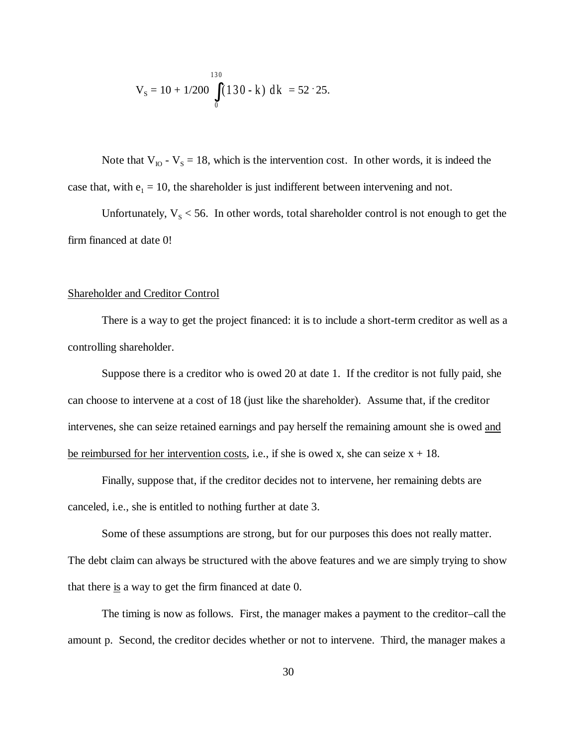$$
V_s = 10 + 1/200 \int_0^{130} (130 - k) dk = 52 \cdot 25.
$$

Note that  $V_{I0}$  -  $V_s$  = 18, which is the intervention cost. In other words, it is indeed the case that, with  $e_1 = 10$ , the shareholder is just indifferent between intervening and not.

Unfortunately,  $V_s < 56$ . In other words, total shareholder control is not enough to get the firm financed at date 0!

### Shareholder and Creditor Control

There is a way to get the project financed: it is to include a short-term creditor as well as a controlling shareholder.

Suppose there is a creditor who is owed 20 at date 1. If the creditor is not fully paid, she can choose to intervene at a cost of 18 (just like the shareholder). Assume that, if the creditor intervenes, she can seize retained earnings and pay herself the remaining amount she is owed and be reimbursed for her intervention costs, i.e., if she is owed x, she can seize  $x + 18$ .

Finally, suppose that, if the creditor decides not to intervene, her remaining debts are canceled, i.e., she is entitled to nothing further at date 3.

Some of these assumptions are strong, but for our purposes this does not really matter. The debt claim can always be structured with the above features and we are simply trying to show that there is a way to get the firm financed at date 0.

The timing is now as follows. First, the manager makes a payment to the creditor–call the amount p. Second, the creditor decides whether or not to intervene. Third, the manager makes a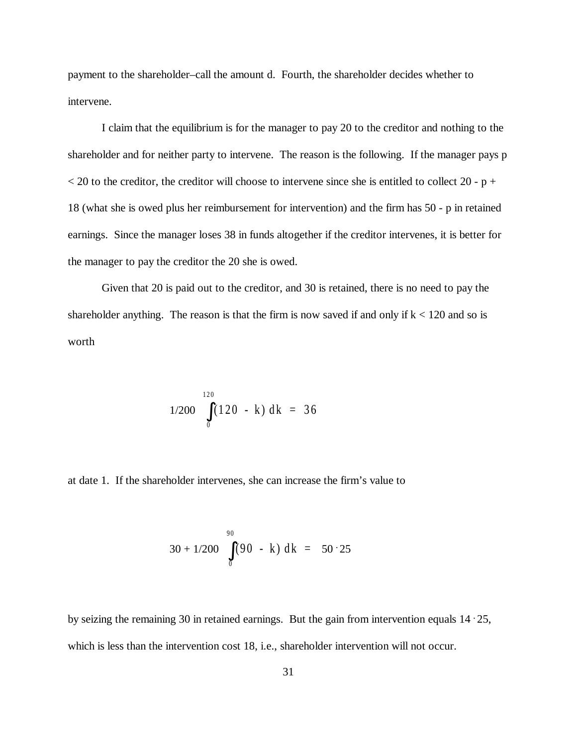payment to the shareholder–call the amount d. Fourth, the shareholder decides whether to intervene.

I claim that the equilibrium is for the manager to pay 20 to the creditor and nothing to the shareholder and for neither party to intervene. The reason is the following. If the manager pays p  $<$  20 to the creditor, the creditor will choose to intervene since she is entitled to collect 20 - p + 18 (what she is owed plus her reimbursement for intervention) and the firm has 50 - p in retained earnings. Since the manager loses 38 in funds altogether if the creditor intervenes, it is better for the manager to pay the creditor the 20 she is owed.

Given that 20 is paid out to the creditor, and 30 is retained, there is no need to pay the shareholder anything. The reason is that the firm is now saved if and only if  $k < 120$  and so is worth

$$
1/200 \int_{0}^{120} (120 - k) dk = 36
$$

at date 1. If the shareholder intervenes, she can increase the firm's value to

$$
30 + 1/200 \int_{0}^{90} (90 - k) dk = 50.25
$$

by seizing the remaining 30 in retained earnings. But the gain from intervention equals 14 **.** 25, which is less than the intervention cost 18, i.e., shareholder intervention will not occur.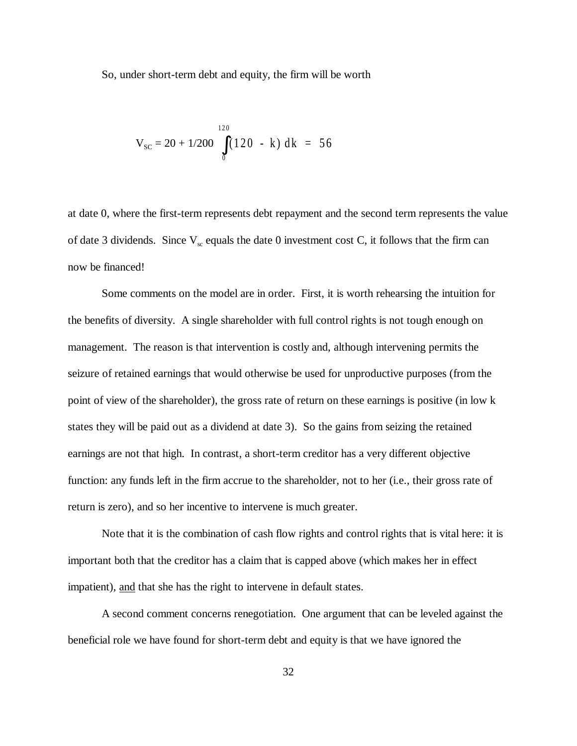So, under short-term debt and equity, the firm will be worth

$$
V_{\rm SC} = 20 + 1/200 \int_{0}^{120} (120 - k) dk = 56
$$

at date 0, where the first-term represents debt repayment and the second term represents the value of date 3 dividends. Since  $V_s$  equals the date 0 investment cost C, it follows that the firm can now be financed!

Some comments on the model are in order. First, it is worth rehearsing the intuition for the benefits of diversity. A single shareholder with full control rights is not tough enough on management. The reason is that intervention is costly and, although intervening permits the seizure of retained earnings that would otherwise be used for unproductive purposes (from the point of view of the shareholder), the gross rate of return on these earnings is positive (in low k states they will be paid out as a dividend at date 3). So the gains from seizing the retained earnings are not that high. In contrast, a short-term creditor has a very different objective function: any funds left in the firm accrue to the shareholder, not to her (i.e., their gross rate of return is zero), and so her incentive to intervene is much greater.

Note that it is the combination of cash flow rights and control rights that is vital here: it is important both that the creditor has a claim that is capped above (which makes her in effect impatient), and that she has the right to intervene in default states.

A second comment concerns renegotiation. One argument that can be leveled against the beneficial role we have found for short-term debt and equity is that we have ignored the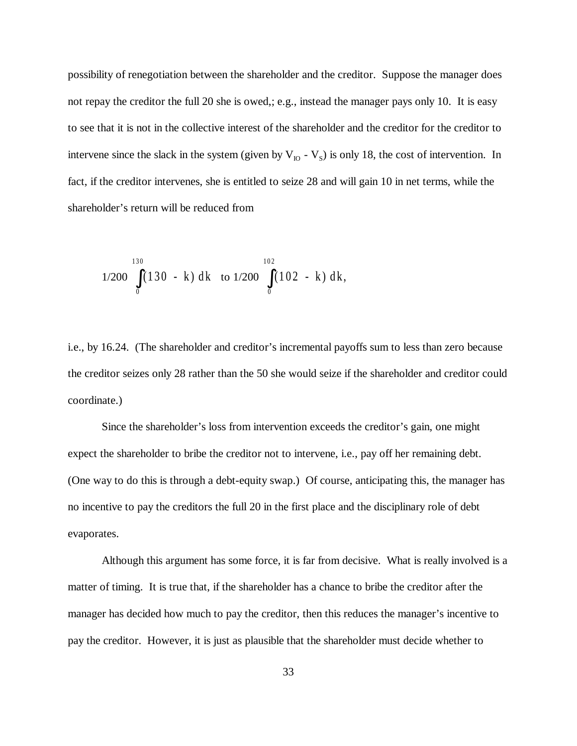possibility of renegotiation between the shareholder and the creditor. Suppose the manager does not repay the creditor the full 20 she is owed,; e.g., instead the manager pays only 10. It is easy to see that it is not in the collective interest of the shareholder and the creditor for the creditor to intervene since the slack in the system (given by  $V_{10} - V_s$ ) is only 18, the cost of intervention. In fact, if the creditor intervenes, she is entitled to seize 28 and will gain 10 in net terms, while the shareholder's return will be reduced from

$$
1/200 \int_{0}^{130} (130 - k) dk \quad \text{to } 1/200 \int_{0}^{102} (102 - k) dk,
$$

i.e., by 16.24. (The shareholder and creditor's incremental payoffs sum to less than zero because the creditor seizes only 28 rather than the 50 she would seize if the shareholder and creditor could coordinate.)

Since the shareholder's loss from intervention exceeds the creditor's gain, one might expect the shareholder to bribe the creditor not to intervene, i.e., pay off her remaining debt. (One way to do this is through a debt-equity swap.) Of course, anticipating this, the manager has no incentive to pay the creditors the full 20 in the first place and the disciplinary role of debt evaporates.

Although this argument has some force, it is far from decisive. What is really involved is a matter of timing. It is true that, if the shareholder has a chance to bribe the creditor after the manager has decided how much to pay the creditor, then this reduces the manager's incentive to pay the creditor. However, it is just as plausible that the shareholder must decide whether to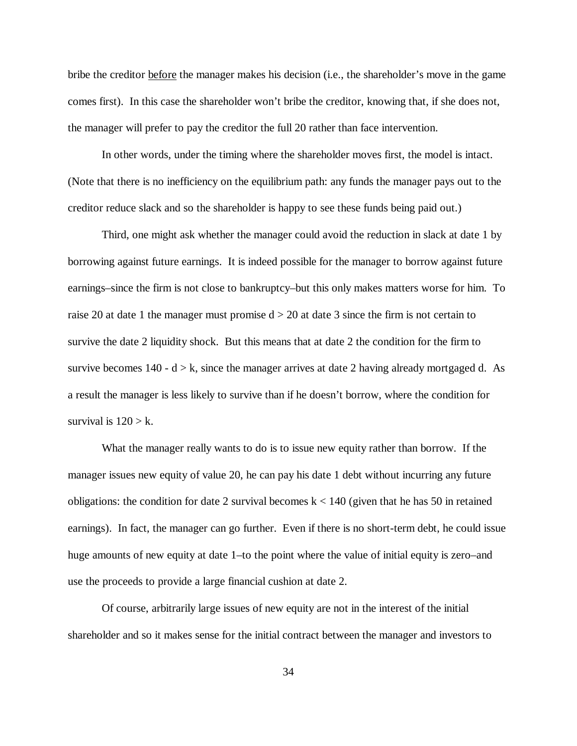bribe the creditor before the manager makes his decision (i.e., the shareholder's move in the game comes first). In this case the shareholder won't bribe the creditor, knowing that, if she does not, the manager will prefer to pay the creditor the full 20 rather than face intervention.

In other words, under the timing where the shareholder moves first, the model is intact. (Note that there is no inefficiency on the equilibrium path: any funds the manager pays out to the creditor reduce slack and so the shareholder is happy to see these funds being paid out.)

Third, one might ask whether the manager could avoid the reduction in slack at date 1 by borrowing against future earnings. It is indeed possible for the manager to borrow against future earnings–since the firm is not close to bankruptcy–but this only makes matters worse for him. To raise 20 at date 1 the manager must promise  $d > 20$  at date 3 since the firm is not certain to survive the date 2 liquidity shock. But this means that at date 2 the condition for the firm to survive becomes  $140 - d > k$ , since the manager arrives at date 2 having already mortgaged d. As a result the manager is less likely to survive than if he doesn't borrow, where the condition for survival is  $120 > k$ .

What the manager really wants to do is to issue new equity rather than borrow. If the manager issues new equity of value 20, he can pay his date 1 debt without incurring any future obligations: the condition for date 2 survival becomes  $k < 140$  (given that he has 50 in retained earnings). In fact, the manager can go further. Even if there is no short-term debt, he could issue huge amounts of new equity at date 1–to the point where the value of initial equity is zero–and use the proceeds to provide a large financial cushion at date 2.

Of course, arbitrarily large issues of new equity are not in the interest of the initial shareholder and so it makes sense for the initial contract between the manager and investors to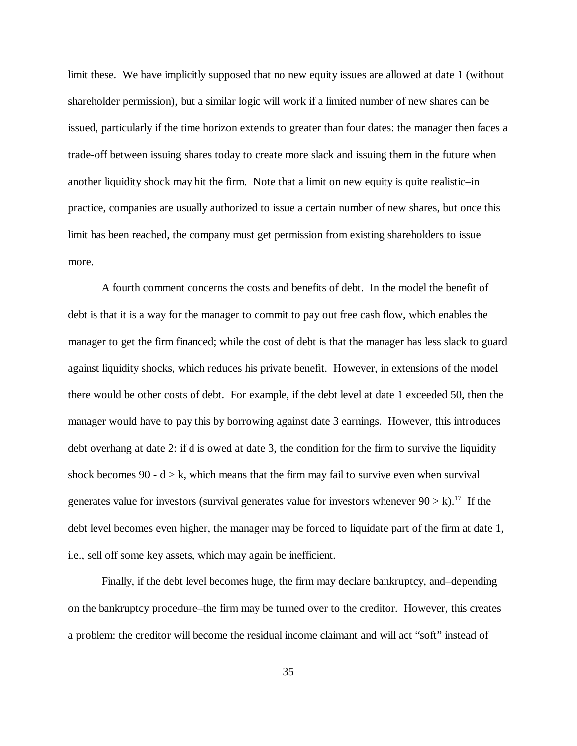limit these. We have implicitly supposed that  $\underline{no}$  new equity issues are allowed at date 1 (without shareholder permission), but a similar logic will work if a limited number of new shares can be issued, particularly if the time horizon extends to greater than four dates: the manager then faces a trade-off between issuing shares today to create more slack and issuing them in the future when another liquidity shock may hit the firm. Note that a limit on new equity is quite realistic–in practice, companies are usually authorized to issue a certain number of new shares, but once this limit has been reached, the company must get permission from existing shareholders to issue more.

A fourth comment concerns the costs and benefits of debt. In the model the benefit of debt is that it is a way for the manager to commit to pay out free cash flow, which enables the manager to get the firm financed; while the cost of debt is that the manager has less slack to guard against liquidity shocks, which reduces his private benefit. However, in extensions of the model there would be other costs of debt. For example, if the debt level at date 1 exceeded 50, then the manager would have to pay this by borrowing against date 3 earnings. However, this introduces debt overhang at date 2: if d is owed at date 3, the condition for the firm to survive the liquidity shock becomes  $90 - d > k$ , which means that the firm may fail to survive even when survival generates value for investors (survival generates value for investors whenever  $90 > k$ ).<sup>17</sup> If the debt level becomes even higher, the manager may be forced to liquidate part of the firm at date 1, i.e., sell off some key assets, which may again be inefficient.

Finally, if the debt level becomes huge, the firm may declare bankruptcy, and–depending on the bankruptcy procedure–the firm may be turned over to the creditor. However, this creates a problem: the creditor will become the residual income claimant and will act "soft" instead of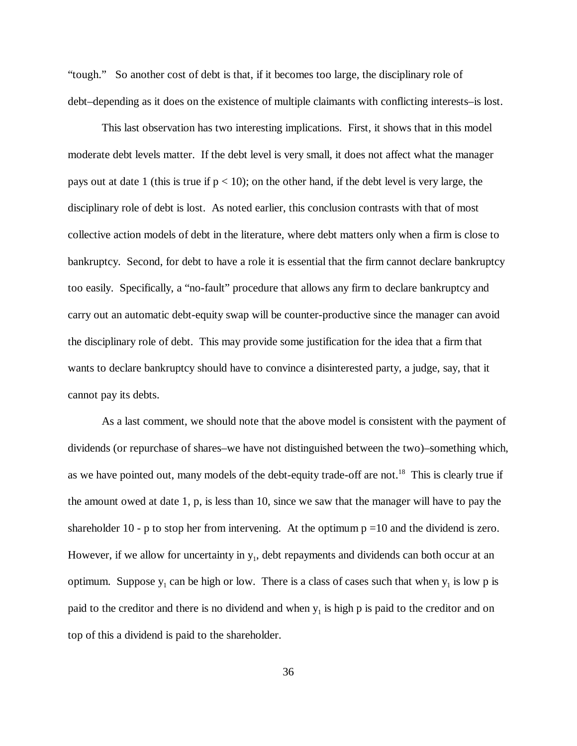"tough." So another cost of debt is that, if it becomes too large, the disciplinary role of debt–depending as it does on the existence of multiple claimants with conflicting interests–is lost.

This last observation has two interesting implications. First, it shows that in this model moderate debt levels matter. If the debt level is very small, it does not affect what the manager pays out at date 1 (this is true if  $p < 10$ ); on the other hand, if the debt level is very large, the disciplinary role of debt is lost. As noted earlier, this conclusion contrasts with that of most collective action models of debt in the literature, where debt matters only when a firm is close to bankruptcy. Second, for debt to have a role it is essential that the firm cannot declare bankruptcy too easily. Specifically, a "no-fault" procedure that allows any firm to declare bankruptcy and carry out an automatic debt-equity swap will be counter-productive since the manager can avoid the disciplinary role of debt. This may provide some justification for the idea that a firm that wants to declare bankruptcy should have to convince a disinterested party, a judge, say, that it cannot pay its debts.

As a last comment, we should note that the above model is consistent with the payment of dividends (or repurchase of shares–we have not distinguished between the two)–something which, as we have pointed out, many models of the debt-equity trade-off are not.<sup>18</sup> This is clearly true if the amount owed at date 1, p, is less than 10, since we saw that the manager will have to pay the shareholder 10 - p to stop her from intervening. At the optimum  $p = 10$  and the dividend is zero. However, if we allow for uncertainty in  $y_1$ , debt repayments and dividends can both occur at an optimum. Suppose  $y_1$  can be high or low. There is a class of cases such that when  $y_1$  is low p is paid to the creditor and there is no dividend and when  $y_1$  is high p is paid to the creditor and on top of this a dividend is paid to the shareholder.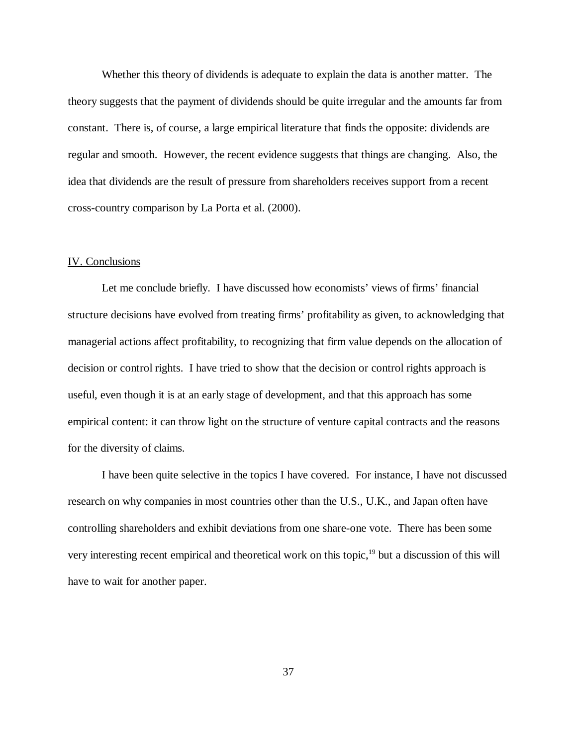Whether this theory of dividends is adequate to explain the data is another matter. The theory suggests that the payment of dividends should be quite irregular and the amounts far from constant. There is, of course, a large empirical literature that finds the opposite: dividends are regular and smooth. However, the recent evidence suggests that things are changing. Also, the idea that dividends are the result of pressure from shareholders receives support from a recent cross-country comparison by La Porta et al. (2000).

## IV. Conclusions

Let me conclude briefly. I have discussed how economists' views of firms' financial structure decisions have evolved from treating firms' profitability as given, to acknowledging that managerial actions affect profitability, to recognizing that firm value depends on the allocation of decision or control rights. I have tried to show that the decision or control rights approach is useful, even though it is at an early stage of development, and that this approach has some empirical content: it can throw light on the structure of venture capital contracts and the reasons for the diversity of claims.

I have been quite selective in the topics I have covered. For instance, I have not discussed research on why companies in most countries other than the U.S., U.K., and Japan often have controlling shareholders and exhibit deviations from one share-one vote. There has been some very interesting recent empirical and theoretical work on this topic,<sup>19</sup> but a discussion of this will have to wait for another paper.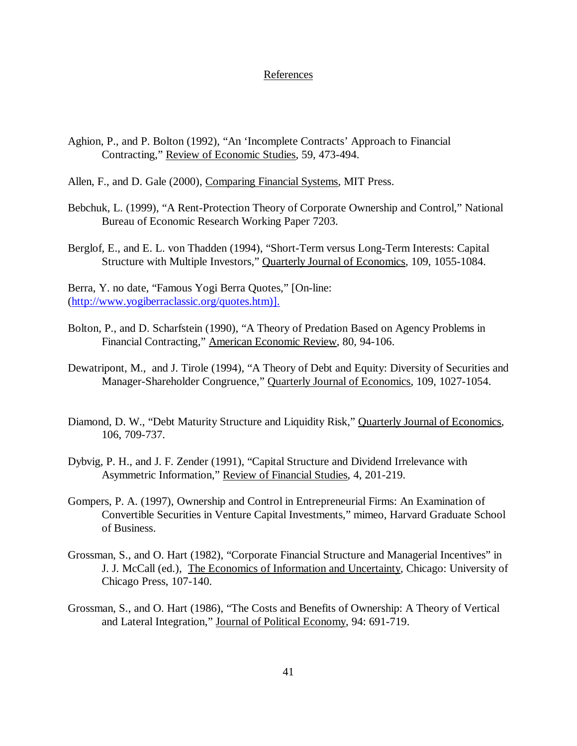### References

- Aghion, P., and P. Bolton (1992), "An 'Incomplete Contracts' Approach to Financial Contracting," Review of Economic Studies, 59, 473-494.
- Allen, F., and D. Gale (2000), Comparing Financial Systems, MIT Press.
- Bebchuk, L. (1999), "A Rent-Protection Theory of Corporate Ownership and Control," National Bureau of Economic Research Working Paper 7203.
- Berglof, E., and E. L. von Thadden (1994), "Short-Term versus Long-Term Interests: Capital Structure with Multiple Investors," Quarterly Journal of Economics, 109, 1055-1084.

Berra, Y. no date, "Famous Yogi Berra Quotes," [On-line: (http://www.yogiberraclassic.org/quotes.htm)].

- Bolton, P., and D. Scharfstein (1990), "A Theory of Predation Based on Agency Problems in Financial Contracting," American Economic Review, 80, 94-106.
- Dewatripont, M., and J. Tirole (1994), "A Theory of Debt and Equity: Diversity of Securities and Manager-Shareholder Congruence," Quarterly Journal of Economics, 109, 1027-1054.
- Diamond, D. W., "Debt Maturity Structure and Liquidity Risk," Quarterly Journal of Economics, 106, 709-737.
- Dybvig, P. H., and J. F. Zender (1991), "Capital Structure and Dividend Irrelevance with Asymmetric Information," Review of Financial Studies, 4, 201-219.
- Gompers, P. A. (1997), Ownership and Control in Entrepreneurial Firms: An Examination of Convertible Securities in Venture Capital Investments," mimeo, Harvard Graduate School of Business.
- Grossman, S., and O. Hart (1982), "Corporate Financial Structure and Managerial Incentives" in J. J. McCall (ed.), The Economics of Information and Uncertainty, Chicago: University of Chicago Press, 107-140.
- Grossman, S., and O. Hart (1986), "The Costs and Benefits of Ownership: A Theory of Vertical and Lateral Integration," Journal of Political Economy, 94: 691-719.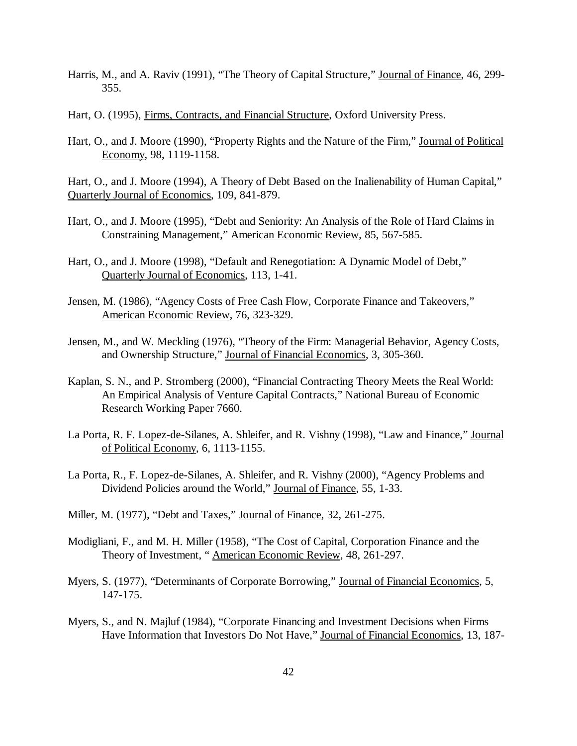- Harris, M., and A. Raviv (1991), "The Theory of Capital Structure," Journal of Finance, 46, 299- 355.
- Hart, O. (1995), Firms, Contracts, and Financial Structure, Oxford University Press.
- Hart, O., and J. Moore (1990), "Property Rights and the Nature of the Firm," Journal of Political Economy, 98, 1119-1158.

Hart, O., and J. Moore (1994), A Theory of Debt Based on the Inalienability of Human Capital," Quarterly Journal of Economics, 109, 841-879.

- Hart, O., and J. Moore (1995), "Debt and Seniority: An Analysis of the Role of Hard Claims in Constraining Management," American Economic Review, 85, 567-585.
- Hart, O., and J. Moore (1998), "Default and Renegotiation: A Dynamic Model of Debt," Quarterly Journal of Economics, 113, 1-41.
- Jensen, M. (1986), "Agency Costs of Free Cash Flow, Corporate Finance and Takeovers," American Economic Review, 76, 323-329.
- Jensen, M., and W. Meckling (1976), "Theory of the Firm: Managerial Behavior, Agency Costs, and Ownership Structure," Journal of Financial Economics, 3, 305-360.
- Kaplan, S. N., and P. Stromberg (2000), "Financial Contracting Theory Meets the Real World: An Empirical Analysis of Venture Capital Contracts," National Bureau of Economic Research Working Paper 7660.
- La Porta, R. F. Lopez-de-Silanes, A. Shleifer, and R. Vishny (1998), "Law and Finance," Journal of Political Economy, 6, 1113-1155.
- La Porta, R., F. Lopez-de-Silanes, A. Shleifer, and R. Vishny (2000), "Agency Problems and Dividend Policies around the World," Journal of Finance, 55, 1-33.
- Miller, M. (1977), "Debt and Taxes," Journal of Finance, 32, 261-275.
- Modigliani, F., and M. H. Miller (1958), "The Cost of Capital, Corporation Finance and the Theory of Investment, " American Economic Review, 48, 261-297.
- Myers, S. (1977), "Determinants of Corporate Borrowing," Journal of Financial Economics, 5, 147-175.
- Myers, S., and N. Majluf (1984), "Corporate Financing and Investment Decisions when Firms Have Information that Investors Do Not Have," Journal of Financial Economics, 13, 187-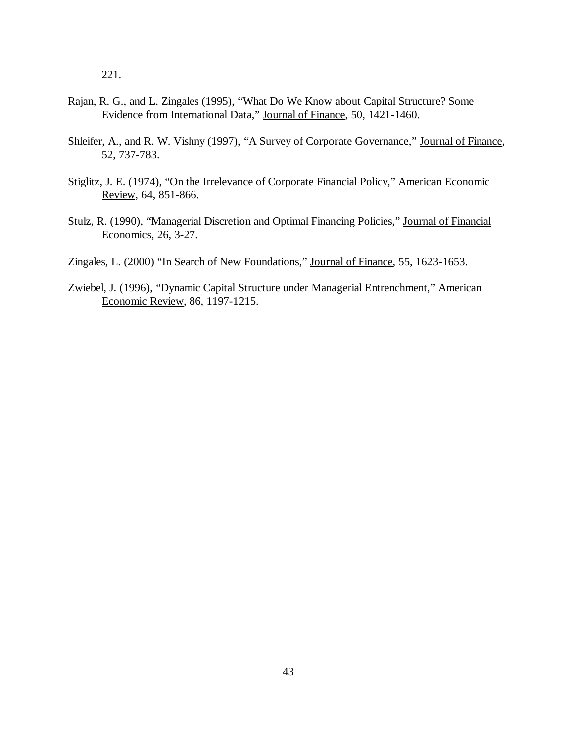221.

- Rajan, R. G., and L. Zingales (1995), "What Do We Know about Capital Structure? Some Evidence from International Data," Journal of Finance, 50, 1421-1460.
- Shleifer, A., and R. W. Vishny (1997), "A Survey of Corporate Governance," Journal of Finance, 52, 737-783.
- Stiglitz, J. E. (1974), "On the Irrelevance of Corporate Financial Policy," American Economic Review, 64, 851-866.
- Stulz, R. (1990), "Managerial Discretion and Optimal Financing Policies," Journal of Financial Economics, 26, 3-27.
- Zingales, L. (2000) "In Search of New Foundations," Journal of Finance, 55, 1623-1653.
- Zwiebel, J. (1996), "Dynamic Capital Structure under Managerial Entrenchment," American Economic Review, 86, 1197-1215.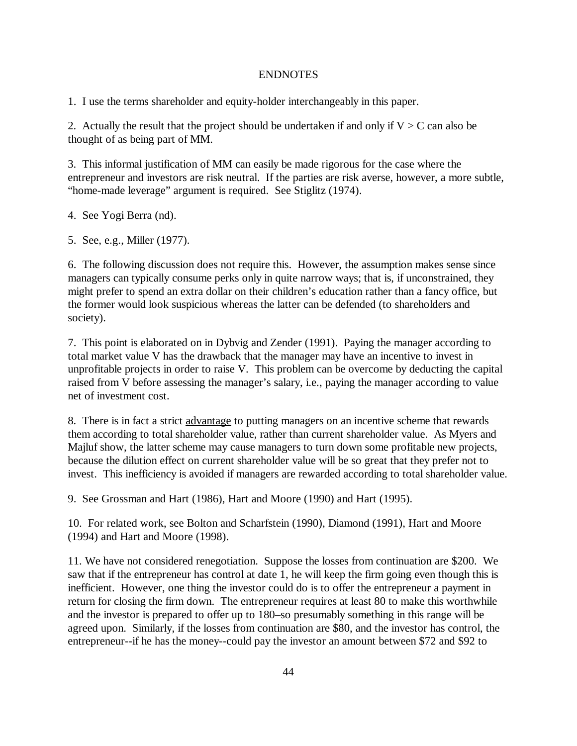# ENDNOTES

1. I use the terms shareholder and equity-holder interchangeably in this paper.

2. Actually the result that the project should be undertaken if and only if  $V > C$  can also be thought of as being part of MM.

3. This informal justification of MM can easily be made rigorous for the case where the entrepreneur and investors are risk neutral. If the parties are risk averse, however, a more subtle, "home-made leverage" argument is required. See Stiglitz (1974).

4. See Yogi Berra (nd).

5. See, e.g., Miller (1977).

6. The following discussion does not require this. However, the assumption makes sense since managers can typically consume perks only in quite narrow ways; that is, if unconstrained, they might prefer to spend an extra dollar on their children's education rather than a fancy office, but the former would look suspicious whereas the latter can be defended (to shareholders and society).

7. This point is elaborated on in Dybvig and Zender (1991). Paying the manager according to total market value V has the drawback that the manager may have an incentive to invest in unprofitable projects in order to raise V. This problem can be overcome by deducting the capital raised from V before assessing the manager's salary, i.e., paying the manager according to value net of investment cost.

8. There is in fact a strict advantage to putting managers on an incentive scheme that rewards them according to total shareholder value, rather than current shareholder value. As Myers and Majluf show, the latter scheme may cause managers to turn down some profitable new projects, because the dilution effect on current shareholder value will be so great that they prefer not to invest. This inefficiency is avoided if managers are rewarded according to total shareholder value.

9. See Grossman and Hart (1986), Hart and Moore (1990) and Hart (1995).

10. For related work, see Bolton and Scharfstein (1990), Diamond (1991), Hart and Moore (1994) and Hart and Moore (1998).

11. We have not considered renegotiation. Suppose the losses from continuation are \$200. We saw that if the entrepreneur has control at date 1, he will keep the firm going even though this is inefficient. However, one thing the investor could do is to offer the entrepreneur a payment in return for closing the firm down. The entrepreneur requires at least 80 to make this worthwhile and the investor is prepared to offer up to 180–so presumably something in this range will be agreed upon. Similarly, if the losses from continuation are \$80, and the investor has control, the entrepreneur--if he has the money--could pay the investor an amount between \$72 and \$92 to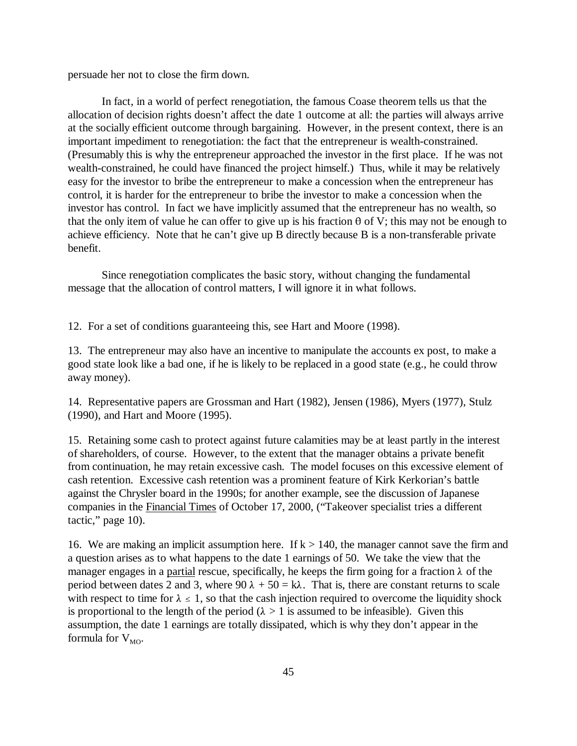persuade her not to close the firm down.

In fact, in a world of perfect renegotiation, the famous Coase theorem tells us that the allocation of decision rights doesn't affect the date 1 outcome at all: the parties will always arrive at the socially efficient outcome through bargaining. However, in the present context, there is an important impediment to renegotiation: the fact that the entrepreneur is wealth-constrained. (Presumably this is why the entrepreneur approached the investor in the first place. If he was not wealth-constrained, he could have financed the project himself.) Thus, while it may be relatively easy for the investor to bribe the entrepreneur to make a concession when the entrepreneur has control, it is harder for the entrepreneur to bribe the investor to make a concession when the investor has control. In fact we have implicitly assumed that the entrepreneur has no wealth, so that the only item of value he can offer to give up is his fraction  $\theta$  of V; this may not be enough to achieve efficiency. Note that he can't give up B directly because B is a non-transferable private benefit.

Since renegotiation complicates the basic story, without changing the fundamental message that the allocation of control matters, I will ignore it in what follows.

12. For a set of conditions guaranteeing this, see Hart and Moore (1998).

13. The entrepreneur may also have an incentive to manipulate the accounts ex post, to make a good state look like a bad one, if he is likely to be replaced in a good state (e.g., he could throw away money).

14. Representative papers are Grossman and Hart (1982), Jensen (1986), Myers (1977), Stulz (1990), and Hart and Moore (1995).

15. Retaining some cash to protect against future calamities may be at least partly in the interest of shareholders, of course. However, to the extent that the manager obtains a private benefit from continuation, he may retain excessive cash. The model focuses on this excessive element of cash retention. Excessive cash retention was a prominent feature of Kirk Kerkorian's battle against the Chrysler board in the 1990s; for another example, see the discussion of Japanese companies in the Financial Times of October 17, 2000, ("Takeover specialist tries a different tactic," page 10).

16. We are making an implicit assumption here. If  $k > 140$ , the manager cannot save the firm and a question arises as to what happens to the date 1 earnings of 50. We take the view that the manager engages in a partial rescue, specifically, he keeps the firm going for a fraction  $\lambda$  of the period between dates 2 and 3, where 90  $\lambda$  + 50 = k $\lambda$ . That is, there are constant returns to scale with respect to time for  $\lambda \leq 1$ , so that the cash injection required to overcome the liquidity shock is proportional to the length of the period  $(\lambda > 1)$  is assumed to be infeasible). Given this assumption, the date 1 earnings are totally dissipated, which is why they don't appear in the formula for  $V_{MO}$ .